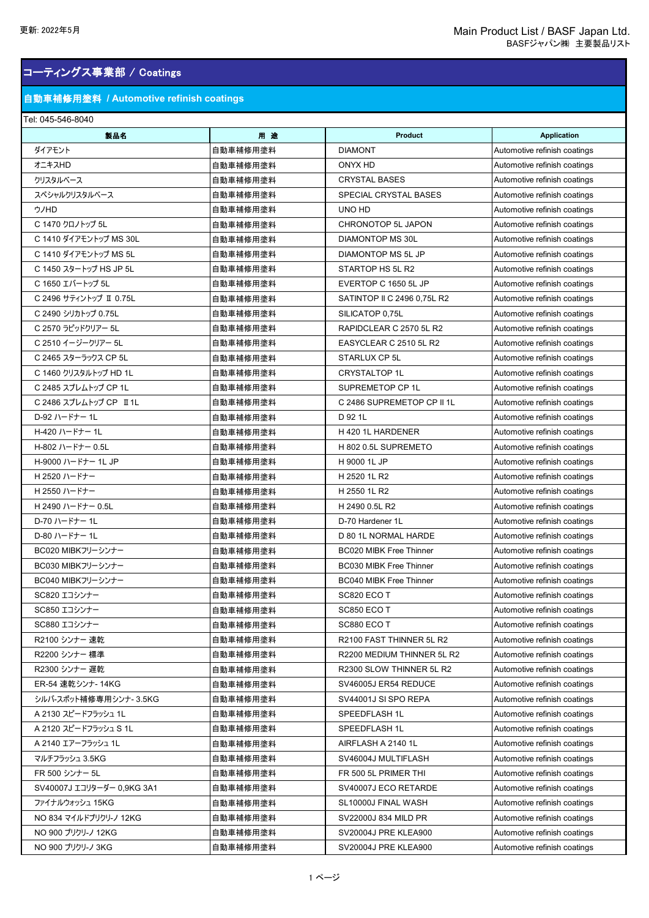## コーティングス事業部 / Coatings

### 自動車補修用塗料 **/ Automotive refinish coatings**

#### Tel: 045-546-8040

| 製品名                        | 用途       | <b>Product</b>                 | <b>Application</b>           |
|----------------------------|----------|--------------------------------|------------------------------|
| ダイアモント                     | 自動車補修用塗料 | <b>DIAMONT</b>                 | Automotive refinish coatings |
| オニキスHD                     | 自動車補修用塗料 | ONYX HD                        | Automotive refinish coatings |
| クリスタルベース                   | 自動車補修用塗料 | <b>CRYSTAL BASES</b>           | Automotive refinish coatings |
| スペシャルクリスタルベース              | 自動車補修用塗料 | SPECIAL CRYSTAL BASES          | Automotive refinish coatings |
| ウノHD                       | 自動車補修用塗料 | UNO HD                         | Automotive refinish coatings |
| C 1470 クロノトップ 5L           | 自動車補修用塗料 | <b>CHRONOTOP 5L JAPON</b>      | Automotive refinish coatings |
| C 1410 ダイアモントップ MS 30L     | 自動車補修用塗料 | DIAMONTOP MS 30L               | Automotive refinish coatings |
| C 1410 ダイアモントップ MS 5L      | 自動車補修用塗料 | DIAMONTOP MS 5L JP             | Automotive refinish coatings |
| C 1450 スタートップ HS JP 5L     | 自動車補修用塗料 | STARTOP HS 5L R2               | Automotive refinish coatings |
| C 1650 エバートップ 5L           | 自動車補修用塗料 | EVERTOP C 1650 5L JP           | Automotive refinish coatings |
| C 2496 サティントップ II 0.75L    | 自動車補修用塗料 | SATINTOP II C 2496 0.75L R2    | Automotive refinish coatings |
| C 2490 シリカトップ 0.75L        | 自動車補修用塗料 | SILICATOP 0,75L                | Automotive refinish coatings |
| C 2570 ラピッドクリアー 5L         | 自動車補修用塗料 | RAPIDCLEAR C 2570 5L R2        | Automotive refinish coatings |
| C 2510 イージークリアー 5L         | 自動車補修用塗料 | EASYCLEAR C 2510 5L R2         | Automotive refinish coatings |
| C 2465 スターラックス CP 5L       | 自動車補修用塗料 | STARLUX CP 5L                  | Automotive refinish coatings |
| C 1460 クリスタルトップ HD 1L      | 自動車補修用塗料 | <b>CRYSTALTOP 1L</b>           | Automotive refinish coatings |
| C 2485 スプレムトップ CP 1L       | 自動車補修用塗料 | SUPREMETOP CP 1L               | Automotive refinish coatings |
| C 2486 スプレムトップ CP II 1L    | 自動車補修用塗料 | C 2486 SUPREMETOP CP II 1L     | Automotive refinish coatings |
| D-92 ハードナー 1L              | 自動車補修用塗料 | D 92 1L                        | Automotive refinish coatings |
| H-420 ハードナー 1L             | 自動車補修用塗料 | H 420 1L HARDENER              | Automotive refinish coatings |
| H-802 ハードナー 0.5L           | 自動車補修用塗料 | H 802 0.5L SUPREMETO           | Automotive refinish coatings |
| H-9000 ハードナー 1L JP         | 自動車補修用塗料 | H 9000 1L JP                   | Automotive refinish coatings |
| H 2520 ハードナー               | 自動車補修用塗料 | H 2520 1L R2                   | Automotive refinish coatings |
| H 2550 ハードナー               | 自動車補修用塗料 | H 2550 1L R2                   | Automotive refinish coatings |
| H 2490 ハードナー 0.5L          | 自動車補修用塗料 | H 2490 0.5L R2                 | Automotive refinish coatings |
| D-70 ハードナー 1L              | 自動車補修用塗料 | D-70 Hardener 1L               | Automotive refinish coatings |
| D-80 ハードナー 1L              | 自動車補修用塗料 | D 80 1L NORMAL HARDE           | Automotive refinish coatings |
| BC020 MIBKフリーシンナー          | 自動車補修用塗料 | <b>BC020 MIBK Free Thinner</b> | Automotive refinish coatings |
| BC030 MIBKフリーシンナー          | 自動車補修用塗料 | BC030 MIBK Free Thinner        | Automotive refinish coatings |
| BC040 MIBKフリーシンナー          | 自動車補修用塗料 | <b>BC040 MIBK Free Thinner</b> | Automotive refinish coatings |
| SC820 エコシンナー               | 自動車補修用塗料 | SC820 ECO T                    | Automotive refinish coatings |
| SC850 エコシンナー               | 自動車補修用塗料 | SC850 ECO T                    | Automotive refinish coatings |
| SC880 エコシンナー               | 自動車補修用塗料 | SC880 ECO T                    | Automotive refinish coatings |
| R2100 シンナー 速乾              | 自動車補修用塗料 | R2100 FAST THINNER 5L R2       | Automotive refinish coatings |
| R2200 シンナー 標準              | 自動車補修用塗料 | R2200 MEDIUM THINNER 5L R2     | Automotive refinish coatings |
| R2300 シンナー 遅乾              | 自動車補修用塗料 | R2300 SLOW THINNER 5L R2       | Automotive refinish coatings |
| ER-54 速乾シンナ- 14KG          | 自動車補修用塗料 | SV46005J ER54 REDUCE           | Automotive refinish coatings |
| シルバ-スポット補修専用シンナ-3.5KG      | 自動車補修用塗料 | SV44001J SI SPO REPA           | Automotive refinish coatings |
| A 2130 スピードフラッシュ 1L        | 自動車補修用塗料 | <b>SPEEDFLASH 1L</b>           | Automotive refinish coatings |
| A 2120 スピードフラッシュ S 1L      | 自動車補修用塗料 | <b>SPEEDFLASH 1L</b>           | Automotive refinish coatings |
| A 2140 エアーフラッシュ 1L         | 自動車補修用塗料 | AIRFLASH A 2140 1L             | Automotive refinish coatings |
| マルチフラッシュ 3.5KG             | 自動車補修用塗料 | SV46004J MULTIFLASH            | Automotive refinish coatings |
| FR 500 シンナー 5L             | 自動車補修用塗料 | FR 500 5L PRIMER THI           | Automotive refinish coatings |
| SV40007J エコリターダー 0,9KG 3A1 | 自動車補修用塗料 | SV40007J ECO RETARDE           | Automotive refinish coatings |
| ファイナルウォッシュ 15KG            | 自動車補修用塗料 | SL10000J FINAL WASH            | Automotive refinish coatings |
| NO 834 マイルドプリクリ-ノ 12KG     | 自動車補修用塗料 | SV22000J 834 MILD PR           | Automotive refinish coatings |
| NO 900 プリクリーノ 12KG         | 自動車補修用塗料 | SV20004J PRE KLEA900           | Automotive refinish coatings |
| NO 900 プリクリ-ノ 3KG          | 自動車補修用塗料 | <b>SV20004J PRE KLEA900</b>    | Automotive refinish coatings |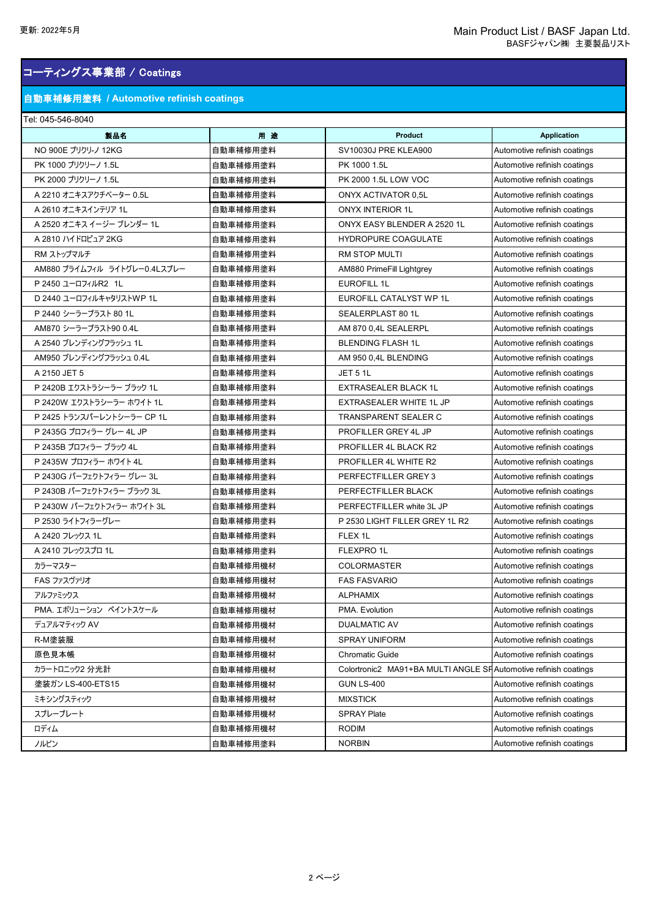## コーティングス事業部 / Coatings

### 自動車補修用塗料 **/ Automotive refinish coatings**

#### Tel: 045-546-8040

| 製品名                          | 用途       | <b>Product</b>                                                   | <b>Application</b>           |
|------------------------------|----------|------------------------------------------------------------------|------------------------------|
| NO 900E プリクリ-ノ 12KG          | 自動車補修用塗料 | SV10030J PRE KLEA900                                             | Automotive refinish coatings |
| PK 1000 プリクリーノ 1.5L          | 自動車補修用塗料 | PK 1000 1.5L                                                     | Automotive refinish coatings |
| PK 2000 プリクリーノ 1.5L          | 自動車補修用塗料 | PK 2000 1.5L LOW VOC                                             | Automotive refinish coatings |
| A 2210 オニキスアクチベーター 0.5L      | 自動車補修用塗料 | <b>ONYX ACTIVATOR 0.5L</b>                                       | Automotive refinish coatings |
| A 2610 オニキスインテリア 1L          | 自動車補修用塗料 | <b>ONYX INTERIOR 1L</b>                                          | Automotive refinish coatings |
| A 2520 オニキス イージー ブレンダー 1L    | 自動車補修用塗料 | ONYX EASY BLENDER A 2520 1L                                      | Automotive refinish coatings |
| A 2810 ハイドロピュア 2KG           | 自動車補修用塗料 | <b>HYDROPURE COAGULATE</b>                                       | Automotive refinish coatings |
| RM ストップマルチ                   | 自動車補修用塗料 | <b>RM STOP MULTI</b>                                             | Automotive refinish coatings |
| AM880 プライムフィル ライトグレー0.4Lスプレー | 自動車補修用塗料 | AM880 PrimeFill Lightgrey                                        | Automotive refinish coatings |
| P 2450 ユーロフィルR2 1L           | 自動車補修用塗料 | <b>EUROFILL 1L</b>                                               | Automotive refinish coatings |
| D 2440 ユーロフィルキャタリストWP 1L     | 自動車補修用塗料 | EUROFILL CATALYST WP 1L                                          | Automotive refinish coatings |
| P 2440 シーラープラスト 80 1L        | 自動車補修用塗料 | SEALERPLAST 80 1L                                                | Automotive refinish coatings |
| AM870 シーラープラスト90 0.4L        | 自動車補修用塗料 | AM 870 0,4L SEALERPL                                             | Automotive refinish coatings |
| A 2540 ブレンディングフラッシュ 1L       | 自動車補修用塗料 | <b>BLENDING FLASH 1L</b>                                         | Automotive refinish coatings |
| AM950 ブレンディングフラッシュ 0.4L      | 自動車補修用塗料 | AM 950 0,4L BLENDING                                             | Automotive refinish coatings |
| A 2150 JET 5                 | 自動車補修用塗料 | <b>JET 5 1L</b>                                                  | Automotive refinish coatings |
| P 2420B エクストラシーラー ブラック 1L    | 自動車補修用塗料 | <b>EXTRASEALER BLACK 1L</b>                                      | Automotive refinish coatings |
| P 2420W エクストラシーラー ホワイト 1L    | 自動車補修用塗料 | EXTRASEALER WHITE 1L JP                                          | Automotive refinish coatings |
| P 2425 トランスパーレントシーラー CP 1L   | 自動車補修用塗料 | TRANSPARENT SEALER C                                             | Automotive refinish coatings |
| P 2435G プロフィラー グレー 4L JP     | 自動車補修用塗料 | PROFILLER GREY 4L JP                                             | Automotive refinish coatings |
| P 2435B プロフィラー ブラック 4L       | 自動車補修用塗料 | PROFILLER 4L BLACK R2                                            | Automotive refinish coatings |
| P 2435W プロフィラー ホワイト 4L       | 自動車補修用塗料 | PROFILLER 4L WHITE R2                                            | Automotive refinish coatings |
| P 2430G パーフェクトフィラー グレー 3L    | 自動車補修用塗料 | PERFECTFILLER GREY 3                                             | Automotive refinish coatings |
| P 2430B パーフェクトフィラー ブラック 3L   | 自動車補修用塗料 | PERFECTFILLER BLACK                                              | Automotive refinish coatings |
| P 2430W パーフェクトフィラー ホワイト 3L   | 自動車補修用塗料 | PERFECTFILLER white 3L JP                                        | Automotive refinish coatings |
| P 2530 ライトフィラーグレー            | 自動車補修用塗料 | P 2530 LIGHT FILLER GREY 1L R2                                   | Automotive refinish coatings |
| A 2420 フレックス 1L              | 自動車補修用塗料 | FLEX 1L                                                          | Automotive refinish coatings |
| A 2410 フレックスプロ 1L            | 自動車補修用塗料 | FLEXPRO 1L                                                       | Automotive refinish coatings |
| カラーマスター                      | 自動車補修用機材 | <b>COLORMASTER</b>                                               | Automotive refinish coatings |
| FAS ファスヴァリオ                  | 自動車補修用機材 | <b>FAS FASVARIO</b>                                              | Automotive refinish coatings |
| アルファミックス                     | 自動車補修用機材 | <b>ALPHAMIX</b>                                                  | Automotive refinish coatings |
| PMA.エボリューション ペイントスケール        | 自動車補修用機材 | PMA. Evolution                                                   | Automotive refinish coatings |
| デュアルマティック AV                 | 自動車補修用機材 | <b>DUALMATIC AV</b>                                              | Automotive refinish coatings |
| R-M塗装服                       | 自動車補修用機材 | <b>SPRAY UNIFORM</b>                                             | Automotive refinish coatings |
| 原色見本帳                        | 自動車補修用機材 | Chromatic Guide                                                  | Automotive refinish coatings |
| カラートロニック2 分光計                | 自動車補修用機材 | Colortronic2 MA91+BA MULTI ANGLE SF Automotive refinish coatings |                              |
| 塗装ガン LS-400-ETS15            | 自動車補修用機材 | <b>GUN LS-400</b>                                                | Automotive refinish coatings |
| ミキシングスティック                   | 自動車補修用機材 | <b>MIXSTICK</b>                                                  | Automotive refinish coatings |
| スプレープレート                     | 自動車補修用機材 | <b>SPRAY Plate</b>                                               | Automotive refinish coatings |
| ロディム                         | 自動車補修用機材 | <b>RODIM</b>                                                     | Automotive refinish coatings |
| ノルビン                         | 自動車補修用塗料 | <b>NORBIN</b>                                                    | Automotive refinish coatings |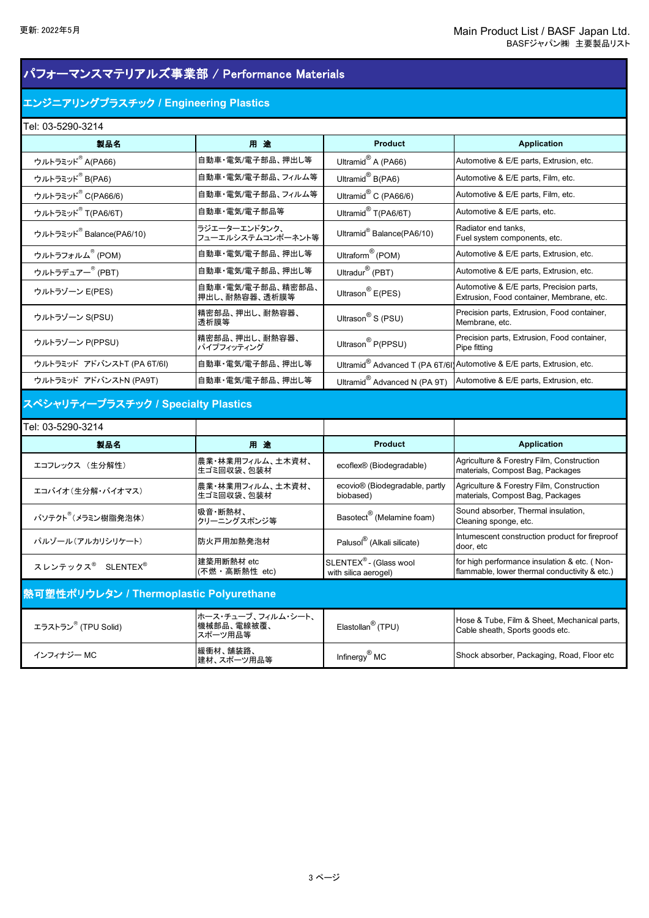### パフォーマンスマテリアルズ事業部 / Performance Materials

### エンジニアリングプラスチック **/ Engineering Plastics**

| Tel: 03-5290-3214                    |                                    |                                       |                                                                                       |
|--------------------------------------|------------------------------------|---------------------------------------|---------------------------------------------------------------------------------------|
| 製品名                                  | 用途                                 | <b>Product</b>                        | <b>Application</b>                                                                    |
| ウルトラミッド <sup>8</sup> A(PA66)         | 自動車・電気/電子部品、押出し等                   | Ultramid <sup>®</sup> A (PA66)        | Automotive & E/E parts, Extrusion, etc.                                               |
| ウルトラミッド®B(PA6)                       | 自動車・電気/電子部品、フィルム等                  | Ultramid® B(PA6)                      | Automotive & E/E parts, Film, etc.                                                    |
| ウルトラミッド <sup>8</sup> C(PA66/6)       | 自動車・電気/電子部品、フィルム等                  | Ultramid <sup>®</sup> C (PA66/6)      | Automotive & E/E parts, Film, etc.                                                    |
| ウルトラミッド <sup>8</sup> T(PA6/6T)       | 自動車・電気/電子部品等                       | Ultramid <sup>®</sup> T(PA6/6T)       | Automotive & E/E parts, etc.                                                          |
| ウルトラミッド <sup>8</sup> Balance(PA6/10) | ラジエーターエンドタンク、<br>フューエルシステムコンポーネント等 | Ultramid <sup>®</sup> Balance(PA6/10) | Radiator end tanks.<br>Fuel system components, etc.                                   |
| ウルトラフォルム® (POM)                      | 自動車・電気/電子部品、押出し等                   | Ultraform <sup>®</sup> (POM)          | Automotive & E/E parts, Extrusion, etc.                                               |
| ウルトラデュアー® (PBT)                      | 自動車・電気/電子部品、押出し等                   | Ultradur® (PBT)                       | Automotive & E/E parts, Extrusion, etc.                                               |
| ウルトラゾーン E(PES)                       | 自動車·電気/電子部品、精密部品、<br>押出し、耐熱容器、透析膜等 | Ultrason <sup>®</sup> $E(PES)$        | Automotive & E/E parts, Precision parts,<br>Extrusion, Food container, Membrane, etc. |
| ウルトラゾーン S(PSU)                       | 精密部品、押出し、耐熱容器、<br>透析膜等             | Ultrason <sup>®</sup> S (PSU)         | Precision parts, Extrusion, Food container,<br>Membrane, etc.                         |
| ウルトラゾーン P(PPSU)                      | 精密部品、押出し、耐熱容器、<br>パイプフィッティング       | Ultrason <sup>®</sup> P(PPSU)         | Precision parts, Extrusion, Food container,<br>Pipe fitting                           |
| ウルトラミッド アドバンストT (PA 6T/6I)           | 自動車・電気/電子部品、押出し等                   |                                       | Ultramid <sup>®</sup> Advanced T (PA 6T/6I) Automotive & E/E parts, Extrusion, etc.   |
| ウルトラミッド アドバンストN (PA9T)               | 自動車・電気/電子部品、押出し等                   | Ultramid® Advanced N (PA 9T)          | Automotive & E/E parts, Extrusion, etc.                                               |

## スペシャリティープラスチック **/ Specialty Plastics**

| Tel: 03-5290-3214                         |                                |                                                            |                                                                                               |  |
|-------------------------------------------|--------------------------------|------------------------------------------------------------|-----------------------------------------------------------------------------------------------|--|
| 製品名                                       | 用途                             | <b>Product</b>                                             | <b>Application</b>                                                                            |  |
| エコフレックス (生分解性)                            | 農業・林業用フィルム、土木資材、<br>生ゴミ回収袋、包装材 | ecoflex® (Biodegradable)                                   | Agriculture & Forestry Film, Construction<br>materials, Compost Bag, Packages                 |  |
| エコバイオ(生分解・バイオマス)                          | 農業・林業用フィルム、土木資材、<br>生ゴミ回収袋、包装材 | ecovio <sup>®</sup> (Biodegradable, partly<br>biobased)    | Agriculture & Forestry Film, Construction<br>materials, Compost Bag, Packages                 |  |
| バソテクト <sup>®</sup> (メラミン樹脂発泡体)            | 吸音·断熱材、<br>クリーニングスポンジ等         | Basotect <sup>®</sup> (Melamine foam)                      | Sound absorber, Thermal insulation,<br>Cleaning sponge, etc.                                  |  |
| パルゾール(アルカリシリケート)                          | 防火戸用加熱発泡材                      | Palusol <sup>®</sup> (Alkali silicate)                     | Intumescent construction product for fireproof<br>door, etc                                   |  |
| スレンテックス <sup>®</sup> SLENTEX <sup>®</sup> | 建築用断熱材 etc<br>(不燃・高断熱性 etc)    | SLENTEX <sup>®</sup> - (Glass wool<br>with silica aerogel) | for high performance insulation & etc. (Non-<br>flammable, lower thermal conductivity & etc.) |  |
| 熱可塑性ポリウレタン / Thermoplastic Polyurethane   |                                |                                                            |                                                                                               |  |

| エラストラン <sup>®</sup> (TPU Solid) | ホース・チューブ、フィルム・シート、<br>機械部品、電線被覆、<br>スポーツ用品等 | Elastollan <sup>®</sup> (TPU) | Hose & Tube, Film & Sheet, Mechanical parts,<br>Cable sheath, Sports goods etc. |
|---------------------------------|---------------------------------------------|-------------------------------|---------------------------------------------------------------------------------|
| インフィナジー MC                      | 緩衝材、舗装路、<br>健材、スポーツ用品等                      | Infinergy <sup>®</sup> MC     | Shock absorber, Packaging, Road, Floor etc                                      |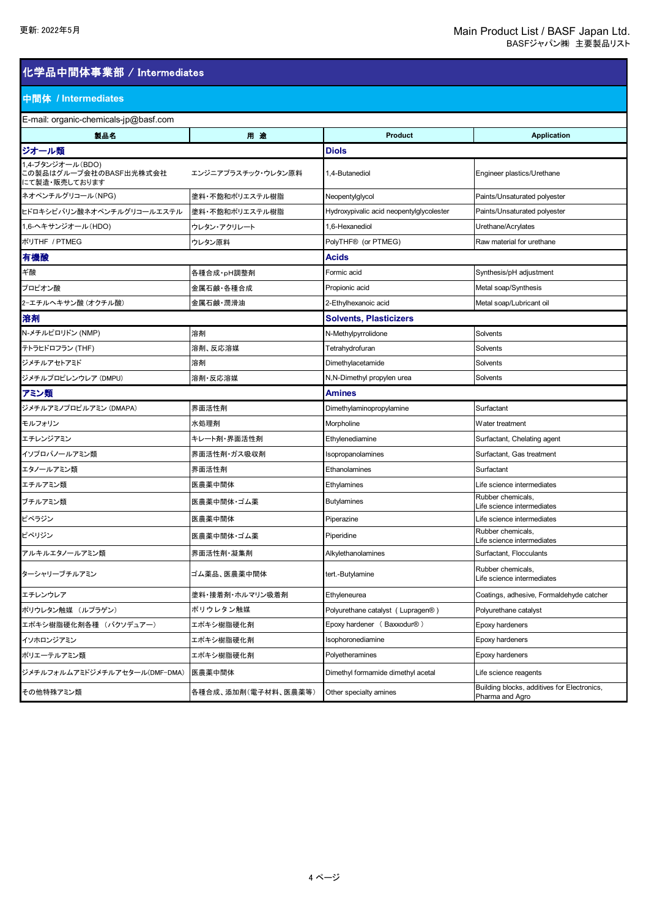### 化学品中間体事業部 / Intermediates

### 中間体 **/ Intermediates**

**E-mail: organic-chemicals-in@basf.com** 

| E-mail: organic-chemicals-jp@bast.com                       |                     |                                          |                                                                |  |
|-------------------------------------------------------------|---------------------|------------------------------------------|----------------------------------------------------------------|--|
| 製品名                                                         | 用途                  | <b>Product</b>                           | <b>Application</b>                                             |  |
| ジオール類                                                       |                     | <b>Diols</b>                             |                                                                |  |
| 1,4-ブタンジオール(BDO)<br>この製品はグループ会社のBASF出光株式会社<br>にて製造・販売しております | エンジニアプラスチック・ウレタン原料  | 1,4-Butanediol                           | Engineer plastics/Urethane                                     |  |
| ネオペンチルグリコール(NPG)                                            | 塗料・不飽和ポリエステル樹脂      | Neopentylglycol                          | Paints/Unsaturated polyester                                   |  |
| ヒドロキシピバリン酸ネオペンチルグリコールエステル                                   | 塗料・不飽和ポリエステル樹脂      | Hydroxypivalic acid neopentylglycolester | Paints/Unsaturated polyester                                   |  |
| 1,6-ヘキサンジオール(HDO)                                           | ウレタン・アクリレート         | 1,6-Hexanediol                           | Urethane/Acrylates                                             |  |
| ポリTHF / PTMEG                                               | ウレタン原料              | PolyTHF <sup>®</sup> (or PTMEG)          | Raw material for urethane                                      |  |
| 有機酸                                                         |                     | Acids                                    |                                                                |  |
| ギ酸                                                          | 各種合成·pH調整剤          | Formic acid                              | Synthesis/pH adjustment                                        |  |
| プロピオン酸                                                      | 金属石鹸·各種合成           | Propionic acid                           | Metal soap/Synthesis                                           |  |
| 2ーエチルヘキサン酸 (オクチル酸)                                          | 金属石鹸·潤滑油            | 2-Ethylhexanoic acid                     | Metal soap/Lubricant oil                                       |  |
| 溶剤                                                          |                     | <b>Solvents, Plasticizers</b>            |                                                                |  |
| N-メチルピロリドン (NMP)                                            | 溶剤                  | N-Methylpyrrolidone                      | Solvents                                                       |  |
| テトラヒドロフラン (THF)                                             | 溶剤、反応溶媒             | Tetrahydrofuran                          | Solvents                                                       |  |
| ジメチルアセトアミド                                                  | 溶剤                  | Dimethylacetamide                        | Solvents                                                       |  |
| ジメチルプロピレンウレア (DMPU)                                         | 溶剤·反応溶媒             | N,N-Dimethyl propylen urea               | Solvents                                                       |  |
| アミン類                                                        |                     | <b>Amines</b>                            |                                                                |  |
| ジメチルアミノプロピルアミン (DMAPA)                                      | 界面活性剤               | Dimethylaminopropylamine                 | Surfactant                                                     |  |
| モルフォリン                                                      | 水処理剤                | Morpholine                               | Water treatment                                                |  |
| エチレンジアミン                                                    | キレート剤・界面活性剤         | Ethylenediamine                          | Surfactant, Chelating agent                                    |  |
| イソプロパノールアミン類                                                | 界面活性剤・ガス吸収剤         | Isopropanolamines                        | Surfactant, Gas treatment                                      |  |
| エタノールアミン類                                                   | 界面活性剤               | Ethanolamines                            | Surfactant                                                     |  |
| エチルアミン類                                                     | 医農薬中間体              | Ethylamines                              | Life science intermediates                                     |  |
| ブチルアミン類                                                     | 医農薬中間体・ゴム薬          | <b>Butylamines</b>                       | Rubber chemicals,<br>Life science intermediates                |  |
| ピペラジン                                                       | 医農薬中間体              | Piperazine                               | Life science intermediates                                     |  |
| ピペリジン                                                       | 医農薬中間体・ゴム薬          | Piperidine                               | Rubber chemicals,<br>Life science intermediates                |  |
| アルキルエタノールアミン類                                               | 界面活性剤 凝集剤           | Alkylethanolamines                       | Surfactant, Flocculants                                        |  |
| ターシャリーブチルアミン                                                | ゴム薬品、医農薬中間体         | tert.-Butylamine                         | Rubber chemicals,<br>Life science intermediates                |  |
| エチレンウレア                                                     | 塗料・接着剤・ホルマリン吸着剤     | Ethyleneurea                             | Coatings, adhesive, Formaldehyde catcher                       |  |
| ポリウレタン触媒 (ルプラゲン)                                            | ポリウレタン触媒            | Polyurethane catalyst (Lupragen®)        | Polyurethane catalyst                                          |  |
| エポキシ樹脂硬化剤各種 (バクソデュアー)                                       | エポキシ樹脂硬化剤           | Epoxy hardener (Baxxodur®)               | Epoxy hardeners                                                |  |
| イソホロンジアミン                                                   | エポキシ樹脂硬化剤           | Isophoronediamine                        | Epoxy hardeners                                                |  |
| ポリエーテルアミン類                                                  | エポキシ樹脂硬化剤           | Polyetheramines                          | Epoxy hardeners                                                |  |
| ジメチルフォルムアミドジメチルアセタール(DMF-DMA)                               | 医農薬中間体              | Dimethyl formamide dimethyl acetal       | Life science reagents                                          |  |
| その他特殊アミン類                                                   | 各種合成、添加剤(電子材料、医農薬等) | Other specialty amines                   | Building blocks, additives for Electronics,<br>Pharma and Agro |  |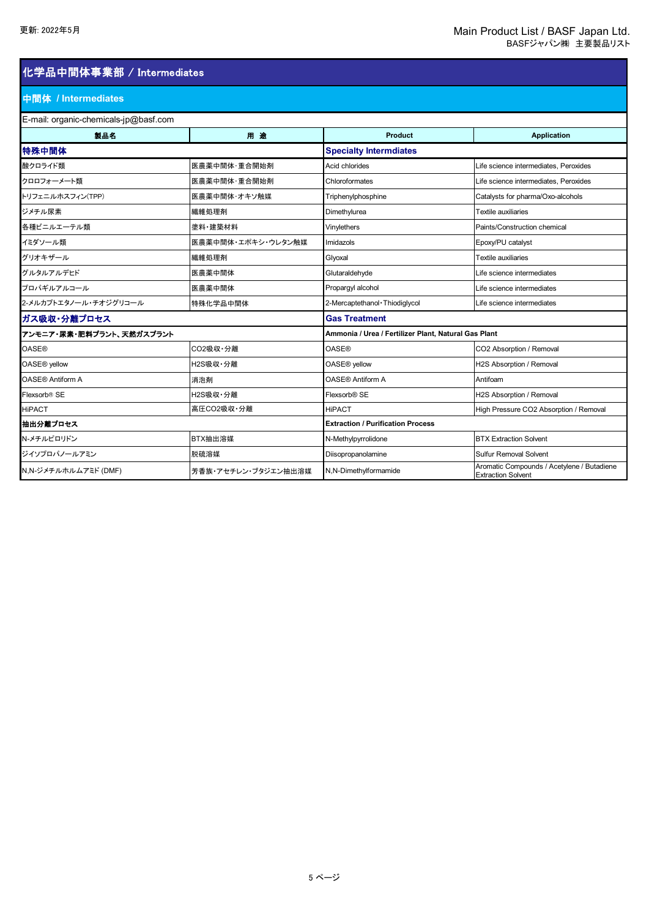## 化学品中間体事業部 / Intermediates

### 中間体 **/ Intermediates**

| E-mail: organic-chemicals-jp $@$ basf.com |                     |                                                      |                                                                         |  |
|-------------------------------------------|---------------------|------------------------------------------------------|-------------------------------------------------------------------------|--|
| 製品名                                       | 用途                  | Product                                              | <b>Application</b>                                                      |  |
| 特殊中間体                                     |                     | <b>Specialty Intermdiates</b>                        |                                                                         |  |
| 酸クロライド類                                   | 医農薬中間体·重合開始剤        | Acid chlorides                                       | Life science intermediates. Peroxides                                   |  |
| クロロフォーメート類                                | 医農薬中間体·重合開始剤        | Chloroformates                                       | Life science intermediates, Peroxides                                   |  |
| トリフェニルホスフィン(TPP)                          | 医農薬中間体・オキソ触媒        | Triphenylphosphine                                   | Catalysts for pharma/Oxo-alcohols                                       |  |
| ジメチル尿素                                    | 繊維処理剤               | Dimethylurea                                         | Textile auxiliaries                                                     |  |
| 各種ビニルエーテル類                                | 塗料·建築材料             | Vinylethers                                          | Paints/Construction chemical                                            |  |
| イミダソール類                                   | 医農薬中間体・エポキシ・ウレタン触媒  | Imidazols                                            | Epoxy/PU catalyst                                                       |  |
| グリオキザール                                   | 繊維処理剤               | Glyoxal                                              | Textile auxiliaries                                                     |  |
| グルタルアルデヒド                                 | 医農薬中間体              | Glutaraldehyde                                       | Life science intermediates                                              |  |
| プロパギルアルコール                                | 医農薬中間体              | Propargyl alcohol                                    | Life science intermediates                                              |  |
| 2-メルカプトエタノール・チオジグリコール                     | 特殊化学品中間体            | 2-Mercaptethanol · Thiodiglycol                      | Life science intermediates                                              |  |
| ガス吸収・分離プロセス                               |                     | <b>Gas Treatment</b>                                 |                                                                         |  |
| アンモニア・尿素・肥料プラント、天然ガスプラント                  |                     | Ammonia / Urea / Fertilizer Plant, Natural Gas Plant |                                                                         |  |
| <b>OASE®</b>                              | CO2吸収·分離            | <b>OASE®</b>                                         | CO2 Absorption / Removal                                                |  |
| OASE <sup>®</sup> yellow                  | H2S吸収·分離            | OASE <sup>®</sup> yellow                             | H2S Absorption / Removal                                                |  |
| <b>OASE® Antiform A</b>                   | 消泡剤                 | <b>OASE® Antiform A</b>                              | Antifoam                                                                |  |
| Flexsorb <sup>®</sup> SE                  | H2S吸収·分離            | Flexsorb <sup>®</sup> SE                             | H2S Absorption / Removal                                                |  |
| <b>HiPACT</b>                             | 高圧CO2吸収·分離          | <b>HiPACT</b>                                        | High Pressure CO2 Absorption / Removal                                  |  |
| 抽出分離プロセス                                  |                     | <b>Extraction / Purification Process</b>             |                                                                         |  |
| N-メチルピロリドン                                | BTX抽出溶媒             | N-Methylpyrrolidone                                  | <b>BTX Extraction Solvent</b>                                           |  |
| ジイソプロパノールアミン                              | 脱硫溶媒                | Diisopropanolamine                                   | <b>Sulfur Removal Solvent</b>                                           |  |
| N,N-ジメチルホルムアミド (DMF)                      | 芳香族・アセチレン・ブタジエン抽出溶媒 | N,N-Dimethylformamide                                | Aromatic Compounds / Acetylene / Butadiene<br><b>Extraction Solvent</b> |  |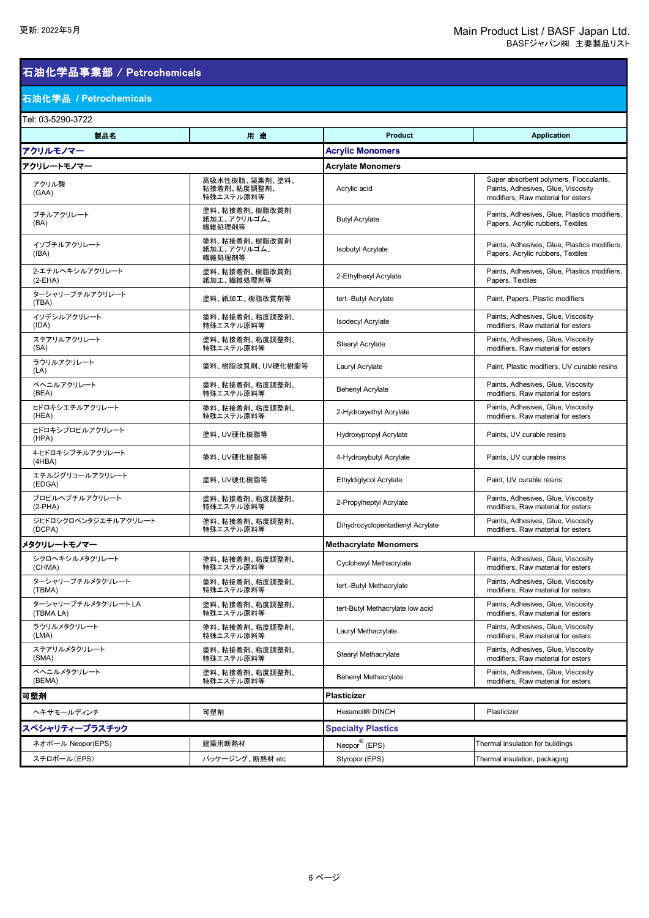## 石油化学品事業部 / Petrochemicals

### 石油化学品 **/ Petrochemicals**

| Tel: 03-5290-3722                |                                            |                                  |                                                                                                                    |
|----------------------------------|--------------------------------------------|----------------------------------|--------------------------------------------------------------------------------------------------------------------|
| 製品名                              | 用途                                         | <b>Product</b>                   | <b>Application</b>                                                                                                 |
| アクリルモノマー                         |                                            | <b>Acrylic Monomers</b>          |                                                                                                                    |
| アクリレートモノマー                       |                                            | <b>Acrylate Monomers</b>         |                                                                                                                    |
| アクリル酸<br>(GAA)                   | 高吸水性樹脂、凝集剤、塗料、<br>粘接着剤、粘度調整剤、<br>特殊エステル原料等 | Acrylic acid                     | Super absorbent polymers, Flocculants,<br>Paints, Adhesives, Glue, Viscosity<br>modifiers, Raw material for esters |
| ブチルアクリレート<br>(BA)                | 塗料、粘接着剤、樹脂改質剤<br>紙加工、アクリルゴム、<br>繊維処理剤等     | <b>Butyl Acrylate</b>            | Paints, Adhesives, Glue, Plastics modifiers,<br>Papers, Acrylic rubbers, Textiles                                  |
| イソブチルアクリレート<br>(IBA)             | 塗料、粘接着剤、樹脂改質剤<br>紙加工、アクリルゴム、<br>繊維処理剤等     | <b>Isobutyl Acrylate</b>         | Paints, Adhesives, Glue, Plastics modifiers,<br>Papers, Acrylic rubbers, Textiles                                  |
| 2-エチルヘキシルアクリレート<br>$(2-EHA)$     | 塗料、粘接着剤、樹脂改質剤<br>紙加工、繊維処理剤等                | 2-Ethylhexyl Acrylate            | Paints, Adhesives, Glue, Plastics modifiers,<br>Papers, Textiles                                                   |
| ターシャリーブチルアクリレート<br>(TBA)         | 塗料、紙加工、樹脂改質剤等                              | tert.-Butyl Acrylate             | Paint, Papers, Plastic modifiers                                                                                   |
| イソデシルアクリレート<br>(IDA)             | 塗料、粘接着剤、粘度調整剤、<br>特殊エステル原料等                | <b>Isodecyl Acrylate</b>         | Paints, Adhesives, Glue, Viscosity<br>modifiers, Raw material for esters                                           |
| ステアリルアクリレート<br>(SA)              | 塗料、粘接着剤、粘度調整剤、<br>特殊エステル原料等                | <b>Stearyl Acrylate</b>          | Paints, Adhesives, Glue, Viscosity<br>modifiers, Raw material for esters                                           |
| ラウリルアクリレート<br>(LA)               | 塗料、樹脂改質剤、UV硬化樹脂等                           | Lauryl Acrylate                  | Paint, Plastic modifiers, UV curable resins                                                                        |
| ベヘニルアクリレート<br>(BEA)              | 塗料、粘接着剤、粘度調整剤、<br>特殊エステル原料等                | <b>Behenyl Acrylate</b>          | Paints, Adhesives, Glue, Viscosity<br>modifiers, Raw material for esters                                           |
| ヒドロキシエチルアクリレート<br>(HEA)          | 塗料、粘接着剤、粘度調整剤、<br>特殊エステル原料等                | 2-Hydroxyethyl Acrylate          | Paints, Adhesives, Glue, Viscosity<br>modifiers. Raw material for esters                                           |
| ヒドロキシプロピルアクリレート<br>(HPA)         | 塗料、UV硬化樹脂等                                 | Hydroxypropyl Acrylate           | Paints, UV curable resins                                                                                          |
| 4-ヒドロキシブチルアクリレート<br>(4HBA)       | 塗料、UV硬化樹脂等                                 | 4-Hydroxybutyl Acrylate          | Paints, UV curable resins                                                                                          |
| エチルジグリコールアクリレート<br>(EDGA)        | 塗料、UV硬化樹脂等                                 | <b>Ethyldiglycol Acrylate</b>    | Paint, UV curable resins                                                                                           |
| プロピルヘプチルアクリレート<br>$(2-PHA)$      | 塗料、粘接着剤、粘度調整剤、<br>特殊エステル原料等                | 2-Propylheptyl Acrylate          | Paints, Adhesives, Glue, Viscosity<br>modifiers, Raw material for esters                                           |
| ジヒドロシクロペンタジエチルアクリレート<br>(DCPA)   | 塗料、粘接着剤、粘度調整剤、<br>特殊エステル原料等                | Dihydrocyclopentadienyl Acrylate | Paints, Adhesives, Glue, Viscosity<br>modifiers, Raw material for esters                                           |
| メタクリレートモノマー                      |                                            | <b>Methacrylate Monomers</b>     |                                                                                                                    |
| シクロヘキシルメタクリレート<br>(CHMA)         | 塗料、粘接着剤、粘度調整剤、<br>特殊エステル原料等                | Cyclohexyl Methacrylate          | Paints, Adhesives, Glue, Viscosity<br>modifiers, Raw material for esters                                           |
| ターシャリーブチルメタクリレート<br>(TBMA)       | 塗料、粘接着剤、粘度調整剤、<br>特殊エステル原料等                | tert.-Butyl Methacrylate         | Paints, Adhesives, Glue, Viscosity<br>modifiers. Raw material for esters                                           |
| ターシャリーブチルメタクリレート LA<br>(TBMA LA) | 塗料、粘接着剤、粘度調整剤<br>特殊エステル原料等                 | tert-Butyl Methacrylate low acid | Paints, Adhesives, Glue, Viscosity<br>modifiers, Raw material for esters                                           |
| ラウリルメタクリレート<br>(LMA)             | 塗料、粘接着剤、粘度調整剤、<br>特殊エステル原料等                | Lauryl Methacrylate              | Paints, Adhesives, Glue, Viscosity<br>modifiers, Raw material for esters                                           |
| ステアリルメタクリレート<br>(SMA)            | 塗料、粘接着剤、粘度調整剤、<br>特殊エステル原料等                | Stearyl Methacrylate             | Paints, Adhesives, Glue, Viscosity<br>modifiers. Raw material for esters                                           |
| ベヘニルメタクリレート<br>(BEMA)            | 塗料、粘接着剤、粘度調整剤、<br>特殊エステル原料等                | Behenyl Methacrylate             | Paints, Adhesives, Glue, Viscosity<br>modifiers, Raw material for esters                                           |
| 可塑剤                              |                                            | Plasticizer                      |                                                                                                                    |
| ヘキサモールディンチ                       | 可塑剤                                        | Hexamoll® DINCH                  | Plasticizer                                                                                                        |
| スペシャリティープラスチック                   |                                            | <b>Specialty Plastics</b>        |                                                                                                                    |
| ネオポール Neopor(EPS)                | 建築用断熱材                                     | Neopor <sup>®</sup> (EPS)        | Thermal insulation for buildings                                                                                   |
| スチロポール(EPS)                      | パッケージング、断熱材 etc                            | Styropor (EPS)                   | Thermal insulation, packaging                                                                                      |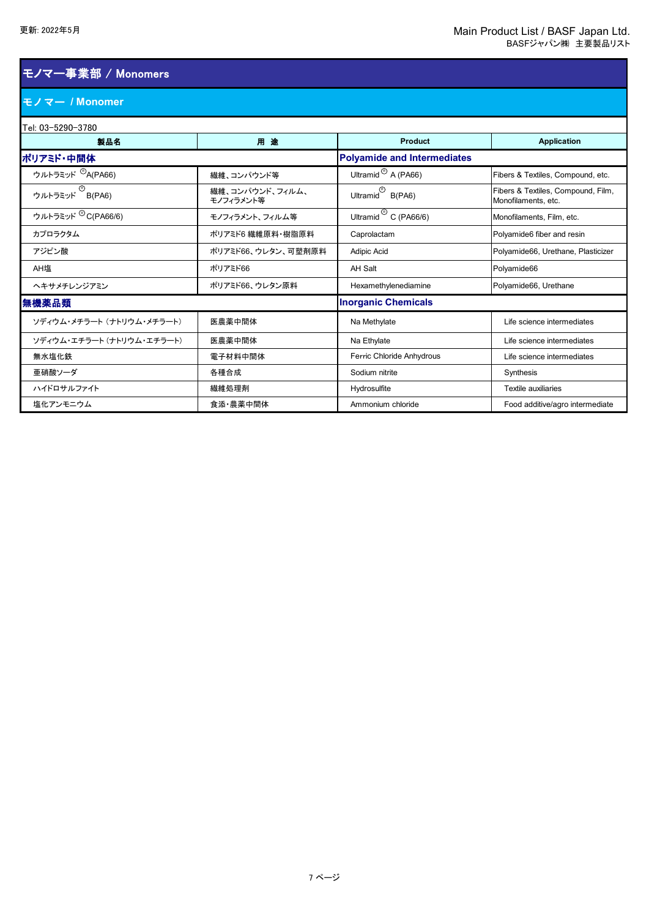## モノマー事業部 / Monomers

### モノマー **/ Monomer**

| Tel: 03-5290-3780            |                              |                                           |                                                           |  |
|------------------------------|------------------------------|-------------------------------------------|-----------------------------------------------------------|--|
| 製品名                          | 用途                           | <b>Product</b>                            | <b>Application</b>                                        |  |
| ポリアミド・中間体                    |                              | <b>Polyamide and Intermediates</b>        |                                                           |  |
| ウルトラミッド <sup>®</sup> A(PA66) | 繊維、コンパウンド等                   | Ultramid $\odot$ A (PA66)                 | Fibers & Textiles, Compound, etc.                         |  |
| —<br>ウルトラミッド B(PA6)          | 繊維、コンパウンド、フィルム、<br>モノフィラメント等 | Ultramid $B(PAG)$                         | Fibers & Textiles, Compound, Film,<br>Monofilaments, etc. |  |
| ウルトラミッド ®C(PA66/6)           | モノフィラメント、フィルム等               | Ultramid $\overline{\text{C}}$ C (PA66/6) | Monofilaments, Film, etc.                                 |  |
| カプロラクタム                      | ポリアミド6 繊維原料・樹脂原料             | Caprolactam                               | Polyamide6 fiber and resin                                |  |
| アジピン酸                        | ポリアミド66、ウレタン、可塑剤原料           | Adipic Acid                               | Polyamide66, Urethane, Plasticizer                        |  |
| AH塩                          | ポリアミド66                      | AH Salt                                   | Polyamide66                                               |  |
| ヘキサメチレンジアミン                  | ポリアミド66、ウレタン原料               | Hexamethylenediamine                      | Polyamide66, Urethane                                     |  |
| 無機薬品類                        |                              | <b>Inorganic Chemicals</b>                |                                                           |  |
| ソディウム・メチラート (ナトリウム・メチラート)    | 医農薬中間体                       | Na Methylate                              | Life science intermediates                                |  |
| ソディウム・エチラート (ナトリウム・エチラート)    | 医農薬中間体                       | Na Ethylate                               | Life science intermediates                                |  |
| 無水塩化鉄                        | 電子材料中間体                      | Ferric Chloride Anhydrous                 | Life science intermediates                                |  |
| 亜硝酸ソーダ                       | 各種合成                         | Sodium nitrite                            | Synthesis                                                 |  |
| ハイドロサルファイト                   | 繊維処理剤                        | Hydrosulfite                              | <b>Textile auxiliaries</b>                                |  |
| 塩化アンモニウム                     | 食添・農薬中間体                     | Ammonium chloride                         | Food additive/agro intermediate                           |  |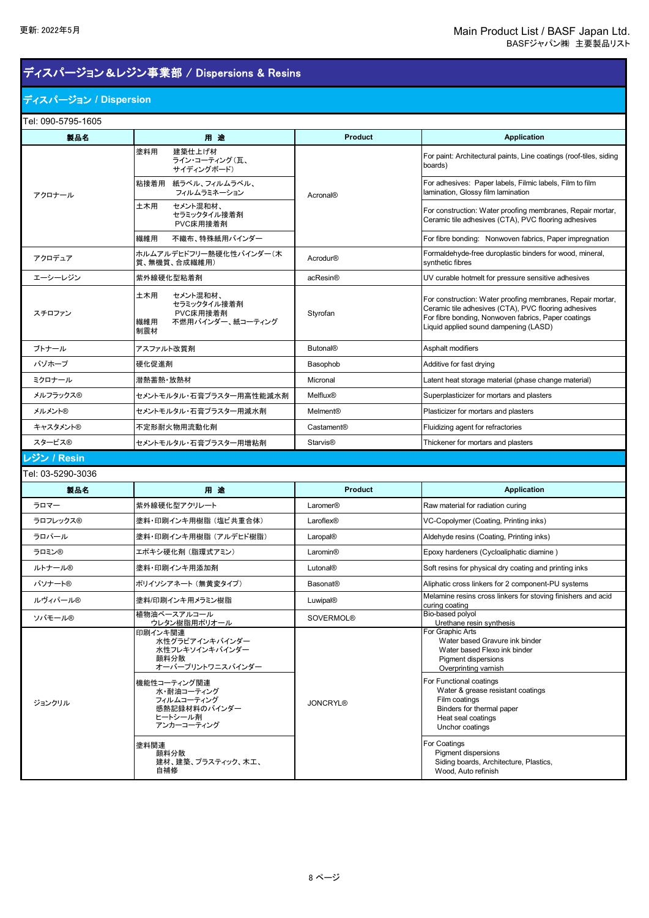## ディスパージョン&レジン事業部 / Dispersions & Resins

### ディスパージョン **/ Dispersion**

Tel: 090-5795-1605

| 製品名               | 用途                                                                                                                                                                          | <b>Product</b>             | <b>Application</b>                                                                                                                                                                                                                                                                                                   |
|-------------------|-----------------------------------------------------------------------------------------------------------------------------------------------------------------------------|----------------------------|----------------------------------------------------------------------------------------------------------------------------------------------------------------------------------------------------------------------------------------------------------------------------------------------------------------------|
|                   | 塗料用<br>建築仕上げ材<br>ライン・コーティング(瓦、<br>サイディングボード)                                                                                                                                |                            | For paint: Architectural paints, Line coatings (roof-tiles, siding<br>boards)                                                                                                                                                                                                                                        |
| アクロナール            | 粘接着用<br>紙ラベル、フィルムラベル、<br>フィルムラミネーション                                                                                                                                        | <b>Acronal®</b>            | For adhesives: Paper labels, Filmic labels, Film to film<br>lamination, Glossy film lamination                                                                                                                                                                                                                       |
|                   | 土木用<br>セメント混和材、<br>セラミックタイル接着剤<br>PVC床用接着剤                                                                                                                                  |                            | For construction: Water proofing membranes, Repair mortar,<br>Ceramic tile adhesives (CTA), PVC flooring adhesives                                                                                                                                                                                                   |
|                   | 不織布、特殊紙用バインダー<br>繊維用                                                                                                                                                        |                            | For fibre bonding: Nonwoven fabrics, Paper impregnation                                                                                                                                                                                                                                                              |
| アクロデュア            | ホルムアルデヒドフリー熱硬化性バインダー(木<br>質、無機質、合成繊維用)                                                                                                                                      | Acrodur <sup>®</sup>       | Formaldehyde-free duroplastic binders for wood, mineral,<br>synthetic fibres                                                                                                                                                                                                                                         |
| エーシーレジン           | 紫外線硬化型粘着剤                                                                                                                                                                   | acResin®                   | UV curable hotmelt for pressure sensitive adhesives                                                                                                                                                                                                                                                                  |
| スチロファン            | 土木用<br>セメント混和材、<br>セラミックタイル接着剤<br>PVC床用接着剤<br>不燃用バインダー、紙コーティング<br>繊維用<br>制震材                                                                                                | Styrofan                   | For construction: Water proofing membranes, Repair mortar,<br>Ceramic tile adhesives (CTA), PVC flooring adhesives<br>For fibre bonding, Nonwoven fabrics, Paper coatings<br>Liquid applied sound dampening (LASD)                                                                                                   |
| ブトナール             | アスファルト改質剤                                                                                                                                                                   | <b>Butonal®</b>            | Asphalt modifiers                                                                                                                                                                                                                                                                                                    |
| バゾホープ             | 硬化促進剤                                                                                                                                                                       | Basophob                   | Additive for fast drying                                                                                                                                                                                                                                                                                             |
| ミクロナール            | 潜熱蓄熱 放熱材                                                                                                                                                                    | Micronal                   | Latent heat storage material (phase change material)                                                                                                                                                                                                                                                                 |
| メルフラックス®          | セメントモルタル・石膏プラスター用高性能減水剤                                                                                                                                                     | Melflux <sup>®</sup>       | Superplasticizer for mortars and plasters                                                                                                                                                                                                                                                                            |
| メルメント®            | セメントモルタル・石膏プラスター用減水剤                                                                                                                                                        | Melment®                   | Plasticizer for mortars and plasters                                                                                                                                                                                                                                                                                 |
| キャスタメント®          | 不定形耐火物用流動化剤                                                                                                                                                                 | Castament <sup>®</sup>     | Fluidizing agent for refractories                                                                                                                                                                                                                                                                                    |
| スタービス®            | セメントモルタル・石膏プラスター用増粘剤                                                                                                                                                        | <b>Starvis<sup>®</sup></b> | Thickener for mortars and plasters                                                                                                                                                                                                                                                                                   |
| ノジン / Resin       |                                                                                                                                                                             |                            |                                                                                                                                                                                                                                                                                                                      |
| Tel: 03-5290-3036 |                                                                                                                                                                             |                            |                                                                                                                                                                                                                                                                                                                      |
|                   |                                                                                                                                                                             |                            |                                                                                                                                                                                                                                                                                                                      |
| 製品名               | 用途                                                                                                                                                                          | Product                    | <b>Application</b>                                                                                                                                                                                                                                                                                                   |
| ラロマー              | 紫外線硬化型アクリレート                                                                                                                                                                | Laromer®                   | Raw material for radiation curing                                                                                                                                                                                                                                                                                    |
| ラロフレックス®          | 塗料・印刷インキ用樹脂(塩ビ共重合体)                                                                                                                                                         | Laroflex®                  | VC-Copolymer (Coating, Printing inks)                                                                                                                                                                                                                                                                                |
| ラロパール             | 塗料・印刷インキ用樹脂 (アルデヒド樹脂)                                                                                                                                                       | Laropal®                   | Aldehyde resins (Coating, Printing inks)                                                                                                                                                                                                                                                                             |
| ラロミン®             | エポキシ硬化剤 (脂環式アミン)                                                                                                                                                            | Laromin <sup>®</sup>       | Epoxy hardeners (Cycloaliphatic diamine)                                                                                                                                                                                                                                                                             |
| ルトナール®            | 塗料・印刷インキ用添加剤                                                                                                                                                                | Lutonal®                   | Soft resins for physical dry coating and printing inks                                                                                                                                                                                                                                                               |
| バソナート®            | ポリイソシアネート (無黄変タイプ)                                                                                                                                                          | <b>Basonat®</b>            | Aliphatic cross linkers for 2 component-PU systems                                                                                                                                                                                                                                                                   |
| ルヴィパール®           | 塗料/印刷インキ用メラミン樹脂                                                                                                                                                             | <b>Luwipal®</b>            | Melamine resins cross linkers for stoving finishers and acid                                                                                                                                                                                                                                                         |
| ソバモール®            | 植物油ベースアルコール                                                                                                                                                                 | <b>SOVERMOL®</b>           | curing coating<br>Bio-based polyol                                                                                                                                                                                                                                                                                   |
| ジョンクリル            | ウレタン樹脂用ポリオール<br>印刷インキ関連<br>水性グラビアインキバインダー<br>水性フレキソインキバインダー<br>顔料分散<br>オーバープリントワニスバインダー<br>機能性コーティング関連<br>水・耐油コーティング<br>フィルムコーティング<br>感熱記録材料のバインダー<br>ヒートシール剤<br>アンカーコーティング | <b>JONCRYL®</b>            | Urethane resin synthesis<br>For Graphic Arts<br>Water based Gravure ink binder<br>Water based Flexo ink binder<br>Pigment dispersions<br>Overprinting varnish<br>For Functional coatings<br>Water & grease resistant coatings<br>Film coatings<br>Binders for thermal paper<br>Heat seal coatings<br>Unchor coatings |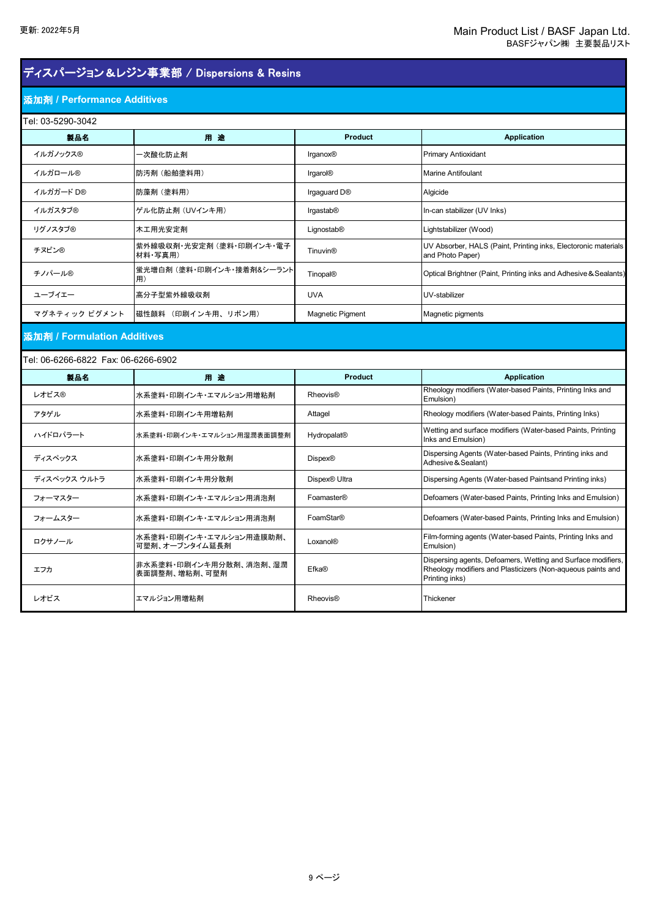## ディスパージョン&レジン事業部 / Dispersions & Resins

エフカ 非水系塗料・印刷インキ用分散剤、消泡剤、湿潤 表面調整剤、増粘剤、可塑剤 Efka®

レオビス コマルジョン用増粘剤 Rheovis® Thickener

#### 添加剤 **/ Performance Additives**

| Tel: 03-5290-3042           |                                     |                         |                                                                                    |  |
|-----------------------------|-------------------------------------|-------------------------|------------------------------------------------------------------------------------|--|
| 製品名                         | 用途                                  | Product                 | <b>Application</b>                                                                 |  |
| イルガノックス®                    | 一次酸化防止剤                             | Irganox®                | <b>Primary Antioxidant</b>                                                         |  |
| イルガロール®                     | 防汚剤 (船舶塗料用)                         | Irgarol <sup>®</sup>    | Marine Antifoulant                                                                 |  |
| イルガガード D®                   | 防藻剤 (塗料用)                           | Irgaguard D®            | Algicide                                                                           |  |
| イルガスタブ®                     | ゲル化防止剤 (UVインキ用)                     | Irgastab <sup>®</sup>   | In-can stabilizer (UV Inks)                                                        |  |
| リグノスタブ®                     | 木工用光安定剤                             | Lignostab®              | Lightstabilizer (Wood)                                                             |  |
| チヌビン®                       | 紫外線吸収剤・光安定剤 (塗料・印刷インキ・電子<br>材料 写真用) | <b>Tinuvin®</b>         | UV Absorber, HALS (Paint, Printing inks, Electoronic materials<br>and Photo Paper) |  |
| チノパール®                      | 蛍光増白剤 (塗料・印刷インキ・接着剤&シーラント<br>用)     | <b>Tinopal®</b>         | Optical Brightner (Paint, Printing inks and Adhesive & Sealants)                   |  |
| ユーブイエー                      | 高分子型紫外線吸収剤                          | <b>UVA</b>              | UV-stabilizer                                                                      |  |
| マグネティック ピグメント               | 磁性顔料 (印刷インキ用、リボン用)                  | <b>Magnetic Pigment</b> | Magnetic pigments                                                                  |  |
| 添加剤 / Formulation Additives |                                     |                         |                                                                                    |  |
|                             |                                     |                         |                                                                                    |  |
| 製品名                         | 用途                                  | Product                 | <b>Application</b>                                                                 |  |
| レオビス®                       | 水系塗料・印刷インキ・エマルション用増粘剤               | <b>Rheovis®</b>         | Rheology modifiers (Water-based Paints, Printing Inks and<br>Emulsion)             |  |
| アタゲル                        | 水系塗料・印刷インキ用増粘剤                      | Attagel                 | Rheology modifiers (Water-based Paints, Printing Inks)                             |  |

ハイドロパラート インストンの 水系塗料・印刷インキ・エマルション用湿潤表面調整剤 Hydropalat® Metting and surface modifiers (Water-based Paints, Printing

ディスペックス インタン - 水系塗料・印刷インキ用分散剤 - - - - - - - Dispex® - - - - - Dispex® - - - Dispersing Agents (Water-based Paints, Printing inks and Dispex® - - - - - - Adhesive & Sealant)

ディスペックス ウルトラ オ系塗料・印刷インキ用分散剤 Dispex® Ultra Dispex® Ultra Dispersing Agents (Water-based Paintsand Printing inks) フォーマスター 水系塗料・印刷インキ・エマルション用消泡剤 Foamaster® Defoamers (Water-based Paints, Printing Inks and Emulsion) フォームスター 水系塗料・印刷インキ・エマルション用消泡剤 FoamStar® Defoamers (Water-based Paints, Printing Inks and Emulsion)

ロクサノール 水系塗料・印刷インキ・エマルション用造膜助剤、 可塑剤、オーブンタイム延長剤 Loxanol® Film-forming agents (Water-based Paints, Printing Inks and

Inks and Emulsion)

Adhesive&Sealant)

Emulsion)

Printing inks)

Dispersing agents, Defoamers, Wetting and Surface modifiers, Rheology modifiers and Plasticizers (Non-aqueous paints and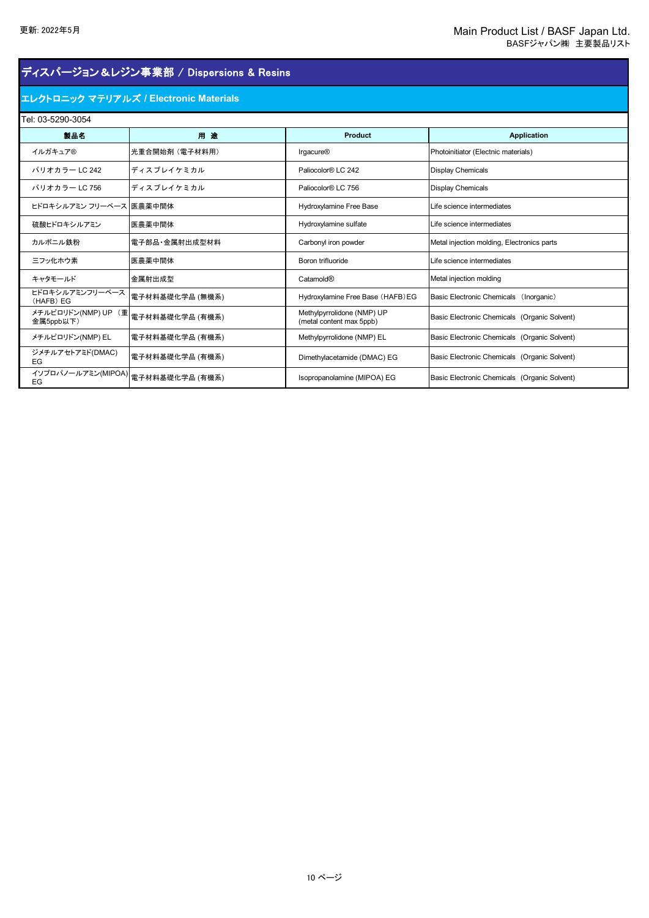## ディスパージョン&レジン事業部 / Dispersions & Resins

### エレクトロニック マテリアルズ **/ Electronic Materials**

| Tel: 03-5290-3054                |                                         |                                                        |                                              |  |
|----------------------------------|-----------------------------------------|--------------------------------------------------------|----------------------------------------------|--|
| 製品名                              | 用途                                      | <b>Product</b>                                         | <b>Application</b>                           |  |
| イルガキュア®                          | 光重合開始剤 (電子材料用)                          | <b>Irgacure®</b>                                       | Photoinitiator (Electnic materials)          |  |
| パリオカラー LC 242                    | ディスプレイケミカル                              | Paliocolor® LC 242                                     | <b>Display Chemicals</b>                     |  |
| パリオカラー LC 756                    | ディスプレイケミカル                              | Paliocolor® LC 756                                     | <b>Display Chemicals</b>                     |  |
| ヒドロキシルアミン フリーベース 医農薬中間体          |                                         | Hydroxylamine Free Base                                | Life science intermediates                   |  |
| 硫酸ヒドロキシルアミン                      | 医農薬中間体                                  | Hydroxylamine sulfate                                  | Life science intermediates                   |  |
| カルボニル鉄粉                          | 雷子部品 金属射出成型材料                           | Carbonyl iron powder                                   | Metal injection molding, Electronics parts   |  |
| 三フッ化ホウ素                          | 医農薬中間体                                  | Boron trifluoride                                      | Life science intermediates                   |  |
| キャタモールド                          | 金属射出成型                                  | Catamold®                                              | Metal injection molding                      |  |
| ヒドロキシルアミンフリーベース<br>(HAFB) EG     | 電子材料基礎化学品 (無機系)                         | Hydroxylamine Free Base (HAFB) EG                      | Basic Electronic Chemicals (Inorganic)       |  |
| メチルピロリドン(NMP) UP (重<br>金属5ppb以下) | 電子材料基礎化学品 (有機系)                         | Methylpyrrolidone (NMP) UP<br>(metal content max 5ppb) | Basic Electronic Chemicals (Organic Solvent) |  |
| メチルピロリドン(NMP) EL                 | 電子材料基礎化学品 (有機系)                         | Methylpyrrolidone (NMP) EL                             | Basic Electronic Chemicals (Organic Solvent) |  |
| ジメチルアセトアミド(DMAC)<br>EG           | 電子材料基礎化学品 (有機系)                         | Dimethylacetamide (DMAC) EG                            | Basic Electronic Chemicals (Organic Solvent) |  |
| EG                               | -<br>イソプロパノールアミン(MIPOA) 電子材料基礎化学品 (有機系) | Isopropanolamine (MIPOA) EG                            | Basic Electronic Chemicals (Organic Solvent) |  |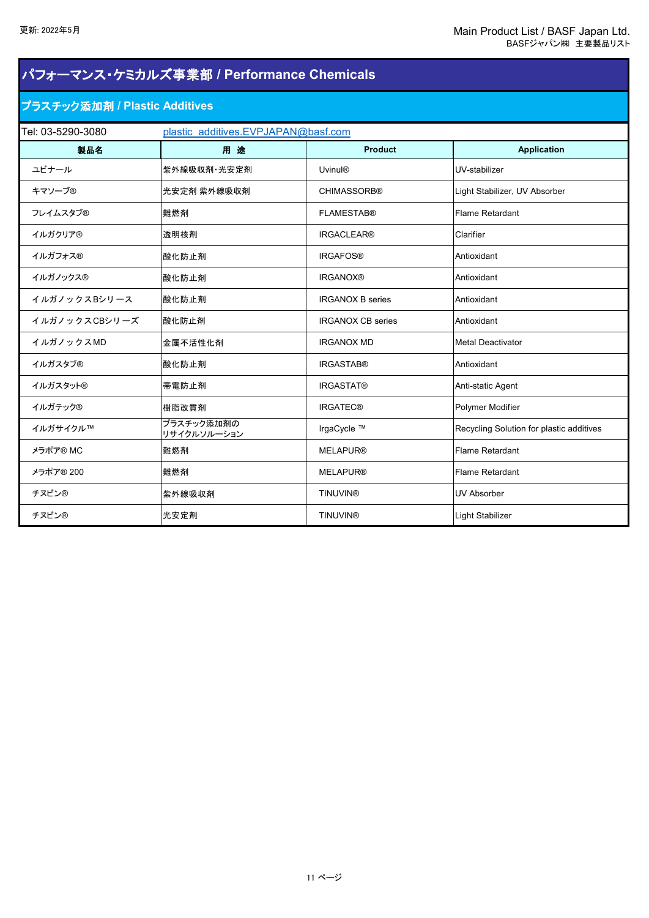| パフォーマンス・ケミカルズ事業部 / Performance Chemicals |                                     |                          |                                          |  |  |
|------------------------------------------|-------------------------------------|--------------------------|------------------------------------------|--|--|
|                                          | プラスチック添加剤 / Plastic Additives       |                          |                                          |  |  |
| Tel: 03-5290-3080                        | plastic additives.EVPJAPAN@basf.com |                          |                                          |  |  |
| 製品名                                      | 用途                                  | <b>Product</b>           | <b>Application</b>                       |  |  |
| ユビナール                                    | 紫外線吸収剤·光安定剤                         | <b>Uvinul®</b>           | UV-stabilizer                            |  |  |
| キマソーブ®                                   | 光安定剤 紫外線吸収剤                         | <b>CHIMASSORB®</b>       | Light Stabilizer, UV Absorber            |  |  |
| フレイムスタブ®                                 | 難燃剤                                 | <b>FLAMESTAB®</b>        | Flame Retardant                          |  |  |
| イルガクリア®                                  | 透明核剤                                | <b>IRGACLEAR®</b>        | Clarifier                                |  |  |
| イルガフォス®                                  | 酸化防止剤                               | <b>IRGAFOS®</b>          | Antioxidant                              |  |  |
| イルガノックス®                                 | 酸化防止剤                               | <b>IRGANOX®</b>          | Antioxidant                              |  |  |
| イルガノックスBシリース                             | 酸化防止剤                               | <b>IRGANOX B series</b>  | Antioxidant                              |  |  |
| イルガノックスCBシリーズ                            | 酸化防止剤                               | <b>IRGANOX CB series</b> | Antioxidant                              |  |  |
| イルガノックスMD                                | 金属不活性化剤                             | <b>IRGANOX MD</b>        | <b>Metal Deactivator</b>                 |  |  |
| イルガスタブ®                                  | 酸化防止剤                               | <b>IRGASTAB®</b>         | Antioxidant                              |  |  |
| イルガスタット®                                 | 帯電防止剤                               | <b>IRGASTAT®</b>         | Anti-static Agent                        |  |  |
| イルガテック®                                  | 樹脂改質剤                               | <b>IRGATEC®</b>          | Polymer Modifier                         |  |  |
| イルガサイクル™                                 | プラスチック添加剤の<br>リサイクルソルーション           | IrgaCycle ™              | Recycling Solution for plastic additives |  |  |
| メラポア® MC                                 | 難燃剤                                 | <b>MELAPUR®</b>          | Flame Retardant                          |  |  |
| メラポア® 200                                | 難燃剤                                 | <b>MELAPUR®</b>          | Flame Retardant                          |  |  |
| チヌビン®                                    | 紫外線吸収剤                              | <b>TINUVIN®</b>          | <b>UV Absorber</b>                       |  |  |
| チヌビン®                                    | 光安定剤                                | <b>TINUVIN®</b>          | Light Stabilizer                         |  |  |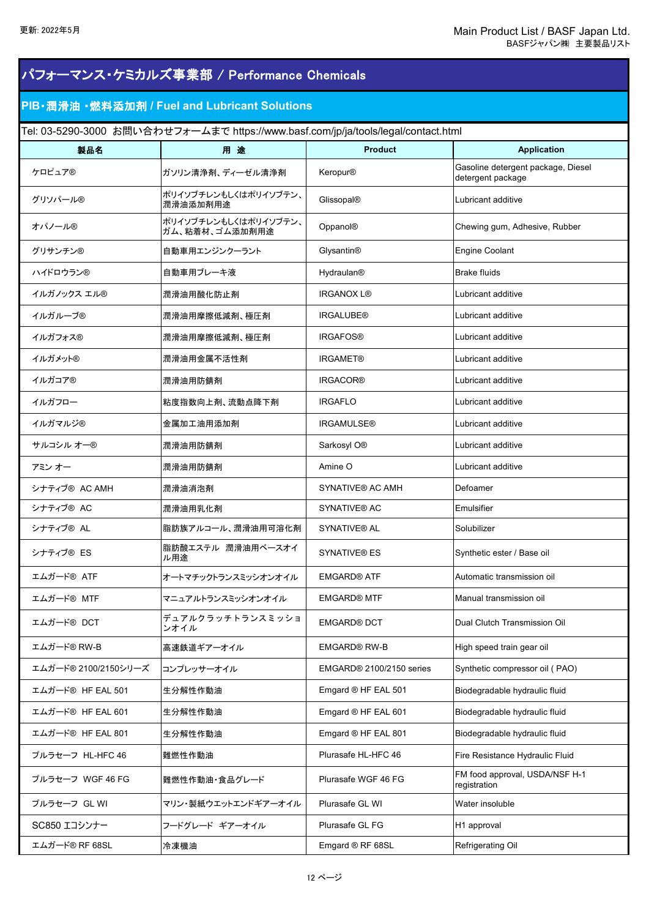| パフォーマンス・ケミカルズ事業部 / Performance Chemicals |                                                                                    |                              |                                                         |
|------------------------------------------|------------------------------------------------------------------------------------|------------------------------|---------------------------------------------------------|
|                                          | PIB · 潤滑油 · 燃料添加剤 / Fuel and Lubricant Solutions                                   |                              |                                                         |
|                                          | Tel: 03-5290-3000 お問い合わせフォームまで https://www.basf.com/jp/ja/tools/legal/contact.html |                              |                                                         |
| 製品名                                      | 用途                                                                                 | <b>Product</b>               | <b>Application</b>                                      |
| ケロピュア®                                   | ガソリン清浄剤、ディーゼル清浄剤                                                                   | Keropur®                     | Gasoline detergent package, Diesel<br>detergent package |
| グリソパール®                                  | ポリイソブチレンもしくはポリイソブテン、<br>潤滑油添加剤用途                                                   | Glissopal®                   | Lubricant additive                                      |
| オパノール®                                   | ポリイソブチレンもしくはポリイソブテン、<br>ガム、粘着材、ゴム添加剤用途                                             | Oppanol®                     | Chewing gum, Adhesive, Rubber                           |
| グリサンチン®                                  | 自動車用エンジンクーラント                                                                      | Glysantin <sup>®</sup>       | <b>Engine Coolant</b>                                   |
| ハイドロウラン®                                 | 自動車用ブレーキ液                                                                          | <b>Hydraulan<sup>®</sup></b> | <b>Brake fluids</b>                                     |
| イルガノックス エル®                              | 潤滑油用酸化防止剤                                                                          | <b>IRGANOX L®</b>            | Lubricant additive                                      |
| イルガルーブ®                                  | 潤滑油用摩擦低減剤、極圧剤                                                                      | <b>IRGALUBE®</b>             | Lubricant additive                                      |
| イルガフォス®                                  | 潤滑油用摩擦低減剤、極圧剤                                                                      | <b>IRGAFOS®</b>              | Lubricant additive                                      |
| イルガメット®                                  | 潤滑油用金属不活性剤                                                                         | <b>IRGAMET®</b>              | Lubricant additive                                      |
| イルガコア®                                   | 潤滑油用防錆剤                                                                            | <b>IRGACOR®</b>              | Lubricant additive                                      |
| イルガフロー                                   | 粘度指数向上剤、流動点降下剤                                                                     | <b>IRGAFLO</b>               | Lubricant additive                                      |
| イルガマルジ®                                  | 金属加工油用添加剤                                                                          | <b>IRGAMULSE®</b>            | Lubricant additive                                      |
| サルコシル オー®                                | 潤滑油用防錆剤                                                                            | Sarkosyl O®                  | Lubricant additive                                      |
| アミン オー                                   | 潤滑油用防錆剤                                                                            | Amine O                      | Lubricant additive                                      |
| シナティブ® AC AMH                            | 潤滑油消泡剤                                                                             | <b>SYNATIVE® AC AMH</b>      | Defoamer                                                |
| シナティブ® AC                                | 潤滑油用乳化剤                                                                            | <b>SYNATIVE® AC</b>          | Emulsifier                                              |
| シナティブ® AL                                | 脂肪族アルコール、潤滑油用可溶化剤                                                                  | <b>SYNATIVE® AL</b>          | Solubilizer                                             |
| シナティブ® ES                                | 脂肪酸エステル 潤滑油用ベースオイ<br>ル用途                                                           | SYNATIVE® ES                 | Synthetic ester / Base oil                              |
| エムガード® ATF                               | オートマチックトランスミッシオンオイル                                                                | <b>EMGARD® ATF</b>           | Automatic transmission oil                              |
| エムガード® MTF                               | マニュアルトランスミッシオンオイル                                                                  | <b>EMGARD® MTF</b>           | Manual transmission oil                                 |
| エムガード® DCT                               | デュアルクラッチトランスミッショ<br>ンオイル                                                           | <b>EMGARD® DCT</b>           | Dual Clutch Transmission Oil                            |
| エムガード® RW-B                              | 高速鉄道ギアーオイル                                                                         | <b>EMGARD® RW-B</b>          | High speed train gear oil                               |
| エムガード® 2100/2150シリーズ                     | コンプレッサーオイル                                                                         | EMGARD® 2100/2150 series     | Synthetic compressor oil (PAO)                          |
| エムガード®HF EAL 501                         | 生分解性作動油                                                                            | Emgard ® HF EAL 501          | Biodegradable hydraulic fluid                           |
| エムガード®HF EAL 601                         | 生分解性作動油                                                                            | Emgard ® HF EAL 601          | Biodegradable hydraulic fluid                           |
| エムガード®HF EAL 801                         | 生分解性作動油                                                                            | Emgard ® HF EAL 801          | Biodegradable hydraulic fluid                           |
| プルラセーフ HL-HFC 46                         | 難燃性作動油                                                                             | Plurasafe HL-HFC 46          | Fire Resistance Hydraulic Fluid                         |
| プルラセーフ WGF 46 FG                         | 難燃性作動油・食品グレード                                                                      | Plurasafe WGF 46 FG          | FM food approval, USDA/NSF H-1<br>registration          |
| プルラセーフ GLWI                              | マリン・製紙ウエットエンドギアーオイル                                                                | Plurasafe GL WI              | Water insoluble                                         |
| SC850 エコシンナー                             | フードグレード ギアーオイル                                                                     | Plurasafe GL FG              | H1 approval                                             |
| エムガード® RF 68SL                           | 冷凍機油                                                                               | Emgard ® RF 68SL             | Refrigerating Oil                                       |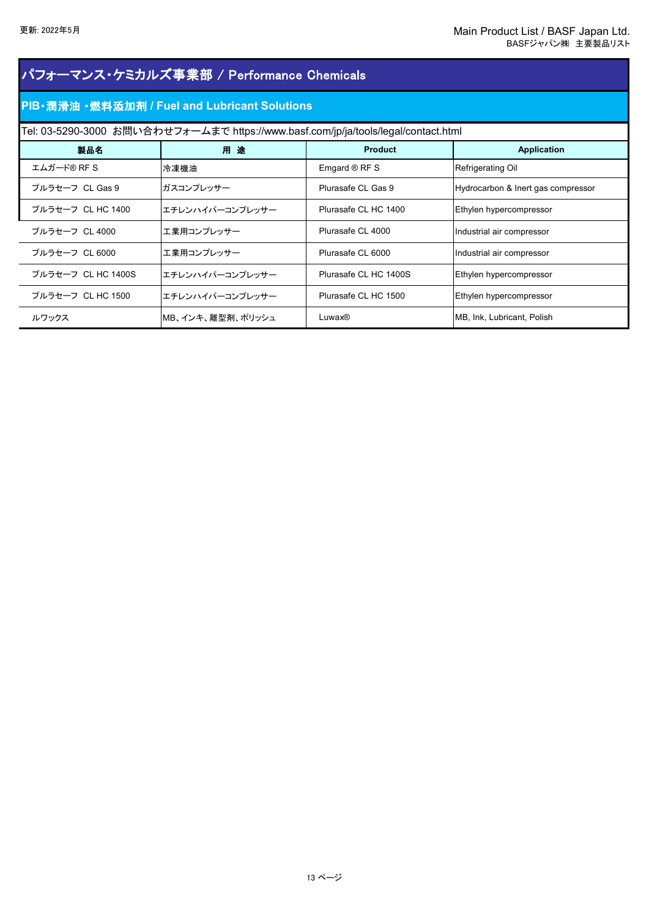| パフォーマンス・ケミカルズ事業部 / Performance Chemicals |                                                                                    |                       |                                    |  |  |
|------------------------------------------|------------------------------------------------------------------------------------|-----------------------|------------------------------------|--|--|
|                                          | PIB · 潤滑油 · 燃料添加剤 / Fuel and Lubricant Solutions                                   |                       |                                    |  |  |
|                                          | Tel: 03-5290-3000 お問い合わせフォームまで https://www.basf.com/jp/ja/tools/legal/contact.html |                       |                                    |  |  |
| 製品名                                      | 用途                                                                                 | <b>Product</b>        | <b>Application</b>                 |  |  |
| エムガード® RF S                              | 冷凍機油                                                                               | Emgard $@$ RF S       | Refrigerating Oil                  |  |  |
| プルラセーフ CL Gas 9                          | ガスコンプレッサー                                                                          | Plurasafe CL Gas 9    | Hydrocarbon & Inert gas compressor |  |  |
| プルラセーフ CL HC 1400                        | エチレンハイパーコンプレッサー                                                                    | Plurasafe CL HC 1400  | Ethylen hypercompressor            |  |  |
| プルラセーフ CL 4000                           | エ業用コンプレッサー                                                                         | Plurasafe CL 4000     | Industrial air compressor          |  |  |
| プルラセーフ CL 6000                           | エ業用コンプレッサー                                                                         | Plurasafe CL 6000     | Industrial air compressor          |  |  |
| プルラセーフ CL HC 1400S                       | エチレンハイパーコンプレッサー                                                                    | Plurasafe CL HC 1400S | Ethylen hypercompressor            |  |  |
| プルラセーフ CL HC 1500                        | エチレンハイパーコンプレッサー                                                                    | Plurasafe CL HC 1500  | Ethylen hypercompressor            |  |  |
| ルワックス                                    | MB、インキ、離型剤、ポリッシュ                                                                   | Luwax®                | MB, Ink, Lubricant, Polish         |  |  |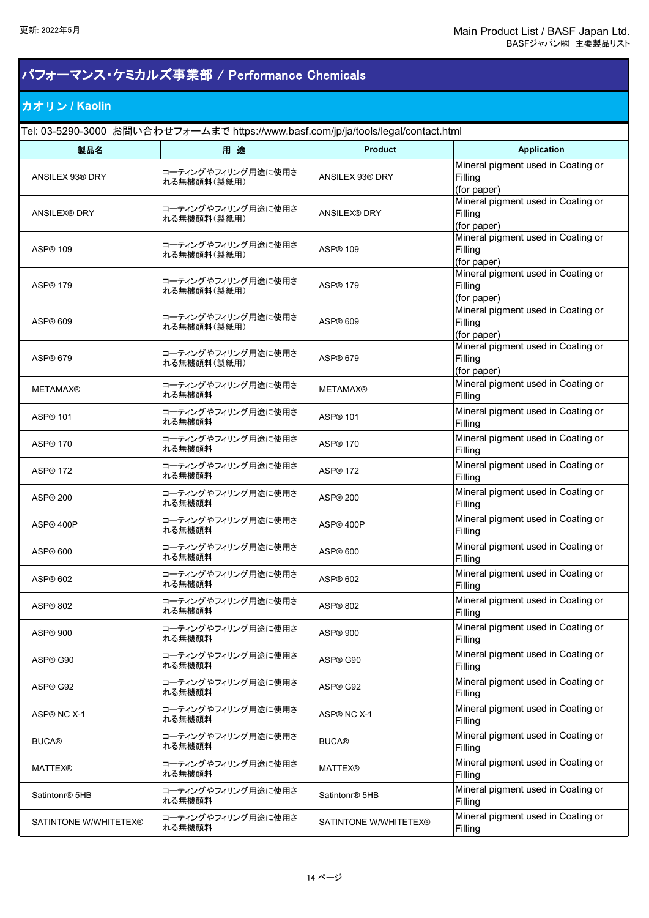# パフォーマンス・ケミカルズ事業部 / Performance Chemicals

### カオリン **/ Kaolin**

Tel: 03-5290-3000 お問い合わせフォームまで https://www.basf.com/jp/ja/tools/legal/contact.html

| 製品名                        | 用途                                | <b>Product</b>             | <b>Application</b>                                           |
|----------------------------|-----------------------------------|----------------------------|--------------------------------------------------------------|
| ANSILEX 93® DRY            | コーティングやフィリング用途に使用さ<br>れる無機顔料(製紙用) | ANSILEX 93® DRY            | Mineral pigment used in Coating or<br>Filling<br>(for paper) |
| <b>ANSILEX® DRY</b>        | コーティングやフィリング用途に使用さ<br>れる無機顔料(製紙用) | <b>ANSILEX® DRY</b>        | Mineral pigment used in Coating or<br>Filling<br>(for paper) |
| ASP <sup>®</sup> 109       | コーティングやフィリング用途に使用さ<br>れる無機顔料(製紙用) | ASP <sup>®</sup> 109       | Mineral pigment used in Coating or<br>Filling<br>(for paper) |
| ASP <sup>®</sup> 179       | コーティングやフィリング用途に使用さ<br>れる無機顔料(製紙用) | ASP <sup>®</sup> 179       | Mineral pigment used in Coating or<br>Filling<br>(for paper) |
| ASP <sup>®</sup> 609       | コーティングやフィリング用途に使用さ<br>れる無機顔料(製紙用) | ASP <sup>®</sup> 609       | Mineral pigment used in Coating or<br>Filling<br>(for paper) |
| ASP <sup>®</sup> 679       | コーティングやフィリング用途に使用さ<br>れる無機顔料(製紙用) | ASP® 679                   | Mineral pigment used in Coating or<br>Filling<br>(for paper) |
| <b>METAMAX®</b>            | コーティングやフィリング用途に使用さ<br>れる無機顔料      | <b>METAMAX®</b>            | Mineral pigment used in Coating or<br>Filling                |
| ASP <sup>®</sup> 101       | コーティングやフィリング用途に使用さ<br>れる無機顔料      | ASP <sup>®</sup> 101       | Mineral pigment used in Coating or<br>Filling                |
| ASP <sup>®</sup> 170       | コーティングやフィリング用途に使用さ<br>れる無機顔料      | ASP <sup>®</sup> 170       | Mineral pigment used in Coating or<br>Filling                |
| ASP <sup>®</sup> 172       | コーティングやフィリング用途に使用さ<br>れる無機顔料      | ASP <sup>®</sup> 172       | Mineral pigment used in Coating or<br>Filling                |
| ASP <sup>®</sup> 200       | コーティングやフィリング用途に使用さ<br>れる無機顔料      | ASP <sup>®</sup> 200       | Mineral pigment used in Coating or<br>Filling                |
| ASP® 400P                  | コーティングやフィリング用途に使用さ<br>れる無機顔料      | ASP® 400P                  | Mineral pigment used in Coating or<br>Filling                |
| ASP <sup>®</sup> 600       | コーティングやフィリング用途に使用さ<br>れる無機顔料      | ASP <sup>®</sup> 600       | Mineral pigment used in Coating or<br>Filling                |
| ASP® 602                   | コーティングやフィリング用途に使用さ<br>れる無機顔料      | ASP <sup>®</sup> 602       | Mineral pigment used in Coating or<br>Filling                |
| ASP <sup>®</sup> 802       | コーティングやフィリング用途に使用さ<br>れる無機顔料      | ASP <sup>®</sup> 802       | Mineral pigment used in Coating or<br>Filling                |
| ASP <sup>®</sup> 900       | コーティングやフィリング用途に使用さ<br>れる無機顔料      | ASP® 900                   | Mineral pigment used in Coating or<br>Filling                |
| ASP® G90                   | コーティングやフィリング用途に使用さ<br>れる無機顔料      | ASP® G90                   | Mineral pigment used in Coating or<br>Filling                |
| ASP® G92                   | コーティングやフィリング用途に使用さ<br>れる無機顔料      | ASP® G92                   | Mineral pigment used in Coating or<br>Filling                |
| ASP® NC X-1                | コーティングやフィリング用途に使用さ<br>れる無機顔料      | ASP® NC X-1                | Mineral pigment used in Coating or<br>Filling                |
| <b>BUCA®</b>               | コーティングやフィリング用途に使用さ<br>れる無機顔料      | <b>BUCA®</b>               | Mineral pigment used in Coating or<br>Filling                |
| <b>MATTEX®</b>             | コーティングやフィリング用途に使用さ<br>れる無機顔料      | <b>MATTEX®</b>             | Mineral pigment used in Coating or<br>Filling                |
| Satintonr <sup>®</sup> 5HB | コーティングやフィリング用途に使用さ<br>れる無機顔料      | Satintonr <sup>®</sup> 5HB | Mineral pigment used in Coating or<br>Filling                |
| SATINTONE W/WHITETEX®      | コーティングやフィリング用途に使用さ<br>れる無機顔料      | SATINTONE W/WHITETEX®      | Mineral pigment used in Coating or<br>Filling                |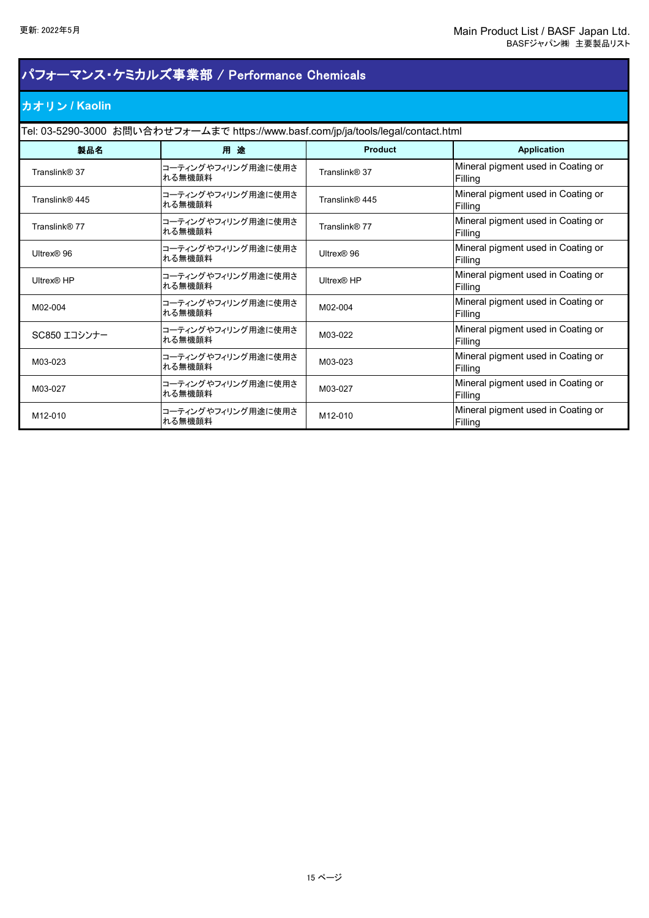# カオリン **/ Kaolin** パフォーマンス・ケミカルズ事業部 / Performance Chemicals

Tel: 03-5290-3000 お問い合わせフォームまで https://www.basf.com/jp/ja/tools/legal/contact.html

| 製品名            | 用途                           | <b>Product</b> | <b>Application</b>                            |
|----------------|------------------------------|----------------|-----------------------------------------------|
| Translink® 37  | コーティングやフィリング用途に使用さ<br>れる無機顔料 | Translink® 37  | Mineral pigment used in Coating or<br>Filling |
| Translink® 445 | コーティングやフィリング用途に使用さ<br>れる無機顔料 | Translink® 445 | Mineral pigment used in Coating or<br>Filling |
| Translink® 77  | コーティングやフィリング用途に使用さ<br>れる無機顔料 | Translink® 77  | Mineral pigment used in Coating or<br>Filling |
| Ultrex® 96     | コーティングやフィリング用途に使用さ<br>れる無機顔料 | Ultrex® 96     | Mineral pigment used in Coating or<br>Filling |
| Ultrex® HP     | コーティングやフィリング用途に使用さ<br>れる無機顔料 | Ultrex® HP     | Mineral pigment used in Coating or<br>Filling |
| M02-004        | コーティングやフィリング用途に使用さ<br>れる無機顔料 | M02-004        | Mineral pigment used in Coating or<br>Filling |
| SC850 エコシンナー   | コーティングやフィリング用途に使用さ<br>れる無機顔料 | M03-022        | Mineral pigment used in Coating or<br>Filling |
| M03-023        | コーティングやフィリング用途に使用さ<br>れる無機顔料 | M03-023        | Mineral pigment used in Coating or<br>Filling |
| M03-027        | コーティングやフィリング用途に使用さ<br>れる無機顔料 | M03-027        | Mineral pigment used in Coating or<br>Filling |
| M12-010        | コーティングやフィリング用途に使用さ<br>れる無機顔料 | M12-010        | Mineral pigment used in Coating or<br>Filling |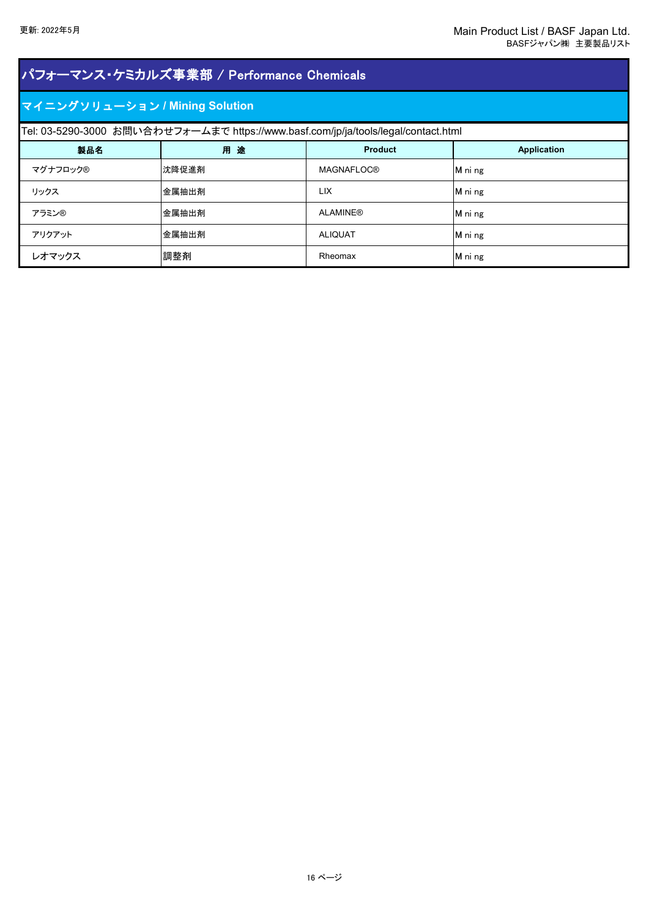| パフォーマンス・ケミカルズ事業部 / Performance Chemicals |                                                                                    |                   |             |  |
|------------------------------------------|------------------------------------------------------------------------------------|-------------------|-------------|--|
| マイニングソリューション / Mining Solution           |                                                                                    |                   |             |  |
|                                          | Tel: 03-5290-3000 お問い合わせフォームまで https://www.basf.com/jp/ja/tools/legal/contact.html |                   |             |  |
| 製品名                                      | 用途                                                                                 | <b>Product</b>    | Application |  |
| マグナフロック®                                 | 沈降促進剤                                                                              | <b>MAGNAFLOC®</b> | M ni ng     |  |
| リックス                                     | 金属抽出剤                                                                              | <b>LIX</b>        | M ni ng     |  |
| アラミン®                                    | 金属抽出剤                                                                              | <b>ALAMINE®</b>   | M ni ng     |  |
| アリクアット                                   | 金属抽出剤                                                                              | <b>ALIQUAT</b>    | M ni ng     |  |
| レオマックス                                   | 調整剤                                                                                | Rheomax           | M ni ng     |  |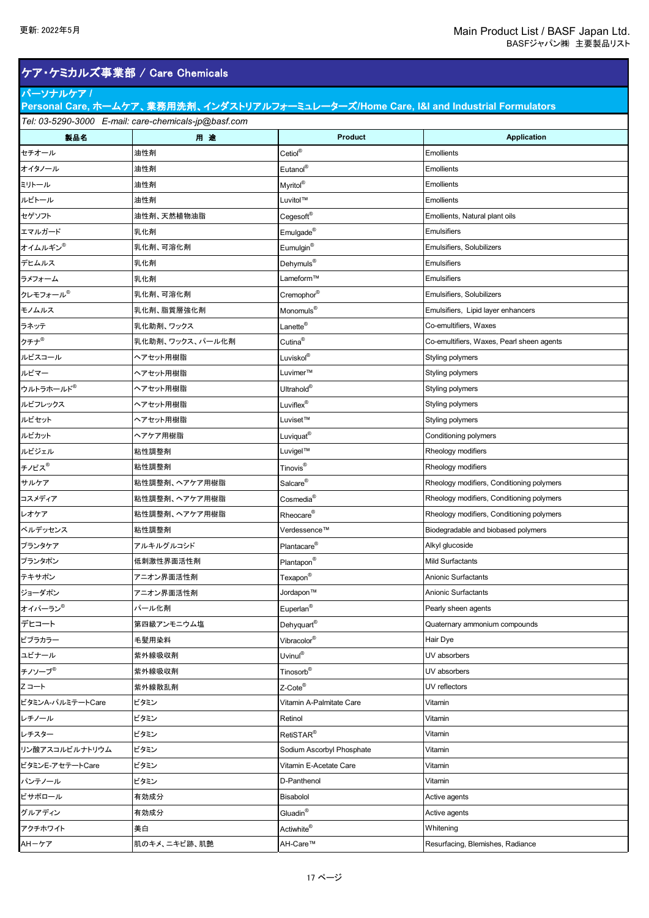## ケア・ケミカルズ事業部 / Care Chemicals

### パーソナルケア **/**

| Personal Care, ホームケア、業務用洗剤、インダストリアルフォーミュレーターズ/Home Care, I&I and Industrial Formulators |                                                      |                                 |                                           |  |
|-----------------------------------------------------------------------------------------|------------------------------------------------------|---------------------------------|-------------------------------------------|--|
|                                                                                         | Tel: 03-5290-3000 E-mail: care-chemicals-jp@basf.com |                                 |                                           |  |
| 製品名                                                                                     | 用途                                                   | <b>Product</b>                  | <b>Application</b>                        |  |
| セチオール                                                                                   | 油性剤                                                  | Cetiol®                         | <b>Emollients</b>                         |  |
| オイタノール                                                                                  | 油性剤                                                  | Eutanol®                        | <b>Emollients</b>                         |  |
| ミリトール                                                                                   | 油性剤                                                  | Myritol®                        | <b>Emollients</b>                         |  |
| ルビトール                                                                                   | 油性剤                                                  | Luvitol™                        | <b>Emollients</b>                         |  |
| セゲソフト                                                                                   | 油性剤、天然植物油脂                                           | Cegesoft®                       | Emollients, Natural plant oils            |  |
| エマルガード                                                                                  | 乳化剤                                                  | Emulgade <sup>®</sup>           | <b>Emulsifiers</b>                        |  |
| オイムルギン <sup>®</sup>                                                                     | 乳化剤、可溶化剤                                             | Eumulgin <sup>®</sup>           | Emulsifiers, Solubilizers                 |  |
| デヒムルス                                                                                   | 乳化剤                                                  | Dehymuls <sup>®</sup>           | <b>Emulsifiers</b>                        |  |
| ラメフォーム                                                                                  | 乳化剤                                                  | Lameform™                       | <b>Emulsifiers</b>                        |  |
| クレモフォール®                                                                                | 乳化剤、可溶化剤                                             | Cremophor®                      | Emulsifiers, Solubilizers                 |  |
| モノムルス                                                                                   | 乳化剤、脂質層強化剤                                           | Monomuls <sup>®</sup>           | Emulsifiers, Lipid layer enhancers        |  |
| ラネッテ                                                                                    | 乳化助剤、ワックス                                            | $L$ anette®                     | Co-emultifiers, Waxes                     |  |
| クチナ®                                                                                    | 乳化助剤、ワックス、パール化剤                                      | Cutina <sup>®</sup>             | Co-emultifiers, Waxes, Pearl sheen agents |  |
| ルビスコール                                                                                  | ヘアセット用樹脂                                             | Luviskol®                       | Styling polymers                          |  |
| ルビマー                                                                                    | ヘアセット用樹脂                                             | Luvimer™                        | Styling polymers                          |  |
| ウルトラホールド®                                                                               | ヘアセット用樹脂                                             | Ultrahold <sup>®</sup>          | Styling polymers                          |  |
| ルビフレックス                                                                                 | ヘアセット用樹脂                                             | Luviflex <sup>®</sup>           | Styling polymers                          |  |
| ルビセット                                                                                   | ヘアセット用樹脂                                             | Luviset™                        | Styling polymers                          |  |
| ルビカット                                                                                   | ヘアケア用樹脂                                              | Luviquat <sup>®</sup>           | Conditioning polymers                     |  |
| ルビジェル                                                                                   | 粘性調整剤                                                | Luvigel™                        | Rheology modifiers                        |  |
| チノビス®                                                                                   | 粘性調整剤                                                | Tinovis <sup>®</sup>            | Rheology modifiers                        |  |
| サルケア                                                                                    | 粘性調整剤、ヘアケア用樹脂                                        | Salcare <sup>®</sup>            | Rheology modifiers, Conditioning polymers |  |
| コスメディア                                                                                  | 粘性調整剤、ヘアケア用樹脂                                        | $\mathsf{Cosmedia}^{\circledR}$ | Rheology modifiers, Conditioning polymers |  |
| レオケア                                                                                    | 粘性調整剤、ヘアケア用樹脂                                        | Rheocare®                       | Rheology modifiers, Conditioning polymers |  |
| ベルデッセンス                                                                                 | 粘性調整剤                                                | Verdessence™                    | Biodegradable and biobased polymers       |  |
| プランタケア                                                                                  | アルキルグルコシド                                            | Plantacare <sup>®</sup>         | Alkyl glucoside                           |  |
| プランタポン                                                                                  | 低刺激性界面活性剤                                            | Plantapon <sup>®</sup>          | <b>Mild Surfactants</b>                   |  |
| テキサポン                                                                                   | アニオン界面活性剤                                            | Texapon <sup>®</sup>            | Anionic Surfactants                       |  |
| ジョーダポン                                                                                  | アニオン界面活性剤                                            | Jordapon™                       | Anionic Surfactants                       |  |
| オイパーラン®                                                                                 | パール化剤                                                | Euperlan <sup>®</sup>           | Pearly sheen agents                       |  |
| デヒコート                                                                                   | 第四級アンモニウム塩                                           | Dehyquart <sup>®</sup>          | Quaternary ammonium compounds             |  |
| ビブラカラー                                                                                  | 毛髪用染料                                                | Vibracolor <sup>®</sup>         | Hair Dye                                  |  |
| ユビナール                                                                                   | 紫外線吸収剤                                               | Uvinul®                         | UV absorbers                              |  |
| チノソーブ <sup>®</sup>                                                                      | 紫外線吸収剤                                               | Tinosorb <sup>®</sup>           | UV absorbers                              |  |
| Z コート                                                                                   | 紫外線散乱剤                                               | Z-Cote <sup>®</sup>             | UV reflectors                             |  |
| ビタミンA-パルミテートCare                                                                        | ビタミン                                                 | Vitamin A-Palmitate Care        | Vitamin                                   |  |
| レチノール                                                                                   | ビタミン                                                 | Retinol                         | Vitamin                                   |  |
| レチスター                                                                                   | ビタミン                                                 | RetiSTAR <sup>®</sup>           | Vitamin                                   |  |
| リン酸アスコルビルナトリウム                                                                          | ビタミン                                                 | Sodium Ascorbyl Phosphate       | Vitamin                                   |  |
| ビタミンE-アセテートCare                                                                         | ビタミン                                                 | Vitamin E-Acetate Care          | Vitamin                                   |  |
| パンテノール                                                                                  | ビタミン                                                 | D-Panthenol                     | Vitamin                                   |  |
| ビサボロール                                                                                  | 有効成分                                                 | Bisabolol                       | Active agents                             |  |
| グルアディン                                                                                  | 有効成分                                                 | $G$ luadin®                     | Active agents                             |  |
| アクチホワイト                                                                                 | 美白                                                   | Actiwhite®                      | Whitening                                 |  |

AH-ケア 肌のキメ、ニキビ跡、肌艶 AH-Care™ Resurfacing, Blemishes, Radiance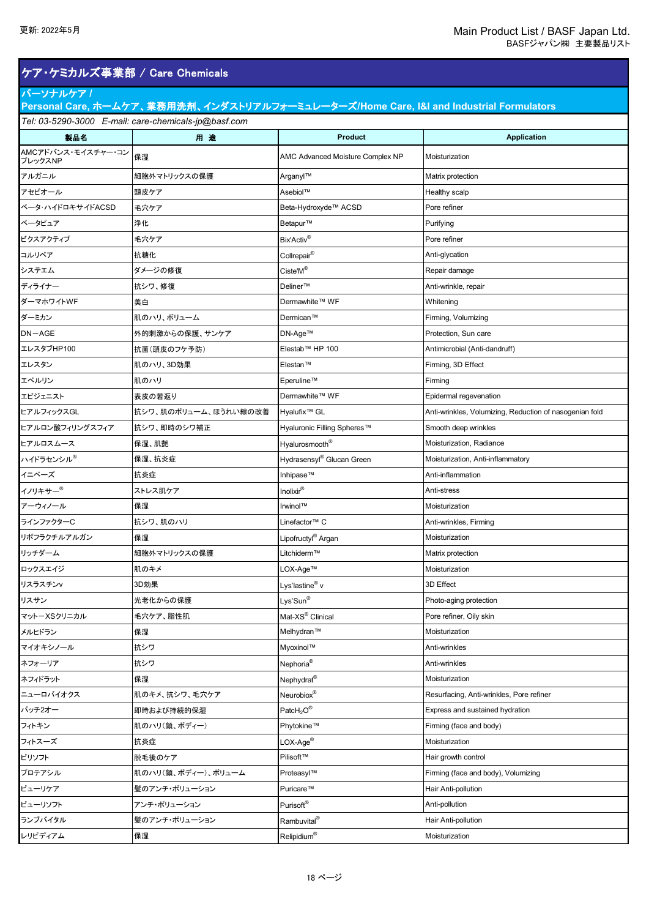### ケア・ケミカルズ事業部 / Care Chemicals

### パーソナルケア **/**

*Tel: 03-5290-3000 E-mail: care-chemicals-jp@basf.com* **Personal Care,** ホームケア、業務用洗剤、インダストリアルフォーミュレーターズ**/Home Care, I&I and Industrial Formulators**

| 製品名                           | 用途                   | <b>Product</b>                                        | <b>Application</b>                                      |
|-------------------------------|----------------------|-------------------------------------------------------|---------------------------------------------------------|
| AMCアドバンス・モイスチャー・コン<br>プレックスNP | 保湿                   | AMC Advanced Moisture Complex NP                      | Moisturization                                          |
| アルガニル                         | 細胞外マトリックスの保護         | Arganyl™                                              | Matrix protection                                       |
| アセビオール                        | 頭皮ケア                 | Asebiol™                                              | Healthy scalp                                           |
| ベータ・ハイドロキサイドACSD              | 毛穴ケア                 | Beta-Hydroxyde™ ACSD                                  | Pore refiner                                            |
| ベータピュア                        | 浄化                   | Betapur™                                              | Purifying                                               |
| ビクスアクティブ                      | 毛穴ケア                 | Bix'Activ <sup>®</sup>                                | Pore refiner                                            |
| コルリペア                         | 抗糖化                  | Collrepair <sup>®</sup>                               | Anti-glycation                                          |
| システエム                         | ダメージの修復              | $\mathsf{Ciste}^{\mathsf{r}}\mathsf{M}^{\circledast}$ | Repair damage                                           |
| ディライナー                        | 抗シワ、修復               | Deliner™                                              | Anti-wrinkle, repair                                    |
| ダーマホワイトWF                     | 美白                   | Dermawhite™ WF                                        | Whitening                                               |
| ダーミカン                         | 肌のハリ、ボリューム           | Dermican™                                             | Firming, Volumizing                                     |
| $DN-AGE$                      | 外的刺激からの保護、サンケア       | DN-Age™                                               | Protection, Sun care                                    |
| エレスタブHP100                    | 抗菌(頭皮のフケ予防)          | Elestab™ HP 100                                       | Antimicrobial (Anti-dandruff)                           |
| エレスタン                         | 肌のハリ、3D効果            | Elestan™                                              | Firming, 3D Effect                                      |
| エペルリン                         | 肌のハリ                 | Eperuline™                                            | Firming                                                 |
| エピジェニスト                       | 表皮の若返り               | Dermawhite™ WF                                        | Epidermal regevenation                                  |
| ヒアルフィックスGL                    | 抗シワ、肌のボリューム、ほうれい線の改善 | Hyalufix <sup>™</sup> GL                              | Anti-wrinkles, Volumizing, Reduction of nasogenian fold |
| ヒアルロン酸フィリングスフィア               | 抗シワ、即時のシワ補正          | Hyaluronic Filling Spheres™                           | Smooth deep wrinkles                                    |
| ヒアルロスムース                      | 保湿、肌艶                | Hyalurosmooth <sup>®</sup>                            | Moisturization, Radiance                                |
| ハイドラセンシル <sup>®</sup>         | 保湿、抗炎症               | Hydrasensyl® Glucan Green                             | Moisturization, Anti-inflammatory                       |
| イニペーズ                         | 抗炎症                  | Inhipase™                                             | Anti-inflammation                                       |
| イノリキサー®                       | ストレス肌ケア              | Inolixir®                                             | Anti-stress                                             |
| アーウィノール                       | 保湿                   | Irwinol™                                              | Moisturization                                          |
| ラインファクターC                     | 抗シワ、肌のハリ             | Linefactor™ C                                         | Anti-wrinkles, Firming                                  |
| リポフラクチルアルガン                   | 保湿                   | Lipofructyl <sup>®</sup> Argan                        | Moisturization                                          |
| リッチダーム                        | 細胞外マトリックスの保護         | Litchiderm™                                           | Matrix protection                                       |
| ロックスエイジ                       | 肌のキメ                 | LOX-Age™                                              | Moisturization                                          |
| リスラスチンv                       | 3D効果                 | Lys'lastine <sup>®</sup> v                            | 3D Effect                                               |
| リスサン                          | 光老化からの保護             | Lys'Sun®                                              | Photo-aging protection                                  |
| マットーXSクリニカル                   | 毛穴ケア、脂性肌             | Mat-XS® Clinical                                      | Pore refiner, Oily skin                                 |
| メルヒドラン                        | 保湿                   | Melhydran™                                            | Moisturization                                          |
| マイオキシノール                      | 抗シワ                  | Myoxinol™                                             | Anti-wrinkles                                           |
| ネフォーリア                        | 抗シワ                  | Nephoria <sup>®</sup>                                 | Anti-wrinkles                                           |
| ネフィドラット                       | 保湿                   | Nephydrat <sup>®</sup>                                | Moisturization                                          |
| ニューロバイオクス                     | 肌のキメ、抗シワ、毛穴ケア        | Neurobiox®                                            | Resurfacing, Anti-wrinkles, Pore refiner                |
| パッチ2オー                        | 即時および持続的保湿           | $\mathsf{Patch}_2\mathsf{O}^{\circledR}$              | Express and sustained hydration                         |
| フィトキン                         | 肌のハリ(顔、ボディー)         | Phytokine™                                            | Firming (face and body)                                 |
| フィトスーズ                        | 抗炎症                  | $LOX-Age®$                                            | Moisturization                                          |
| ピリソフト                         | 脱毛後のケア               | Pilisoft™                                             | Hair growth control                                     |
| プロテアシル                        | 肌のハリ(顔、ボディー)、ボリューム   | Proteasyl™                                            | Firming (face and body), Volumizing                     |
| ピューリケア                        | 髪のアンチ・ポリューション        | Puricare™                                             | Hair Anti-pollution                                     |
| ピューリソフト                       | アンチ・ポリューション          | Purisoft®                                             | Anti-pollution                                          |
| ランブバイタル                       | 髪のアンチ・ポリューション        | Rambuvital <sup>®</sup>                               | Hair Anti-pollution                                     |
| レリピディアム                       | 保湿                   | $\text{Relipidium}^{\circledR}$                       | Moisturization                                          |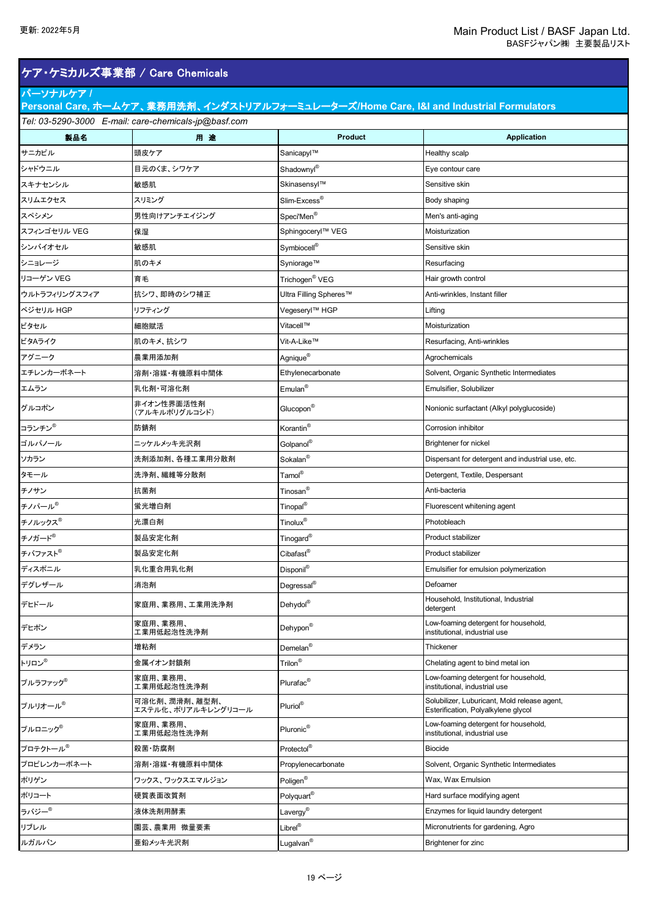|                    |                                                      |                            | BASFジャパン(株) 主要製品リスト                                                                     |
|--------------------|------------------------------------------------------|----------------------------|-----------------------------------------------------------------------------------------|
|                    | ケア・ケミカルズ事業部 / Care Chemicals                         |                            |                                                                                         |
| パーソナルケア/           |                                                      |                            | Personal Care, ホームケア、業務用洗剤、インダストリアルフォーミュレーターズ/Home Care, I&I and Industrial Formulators |
|                    | Tel: 03-5290-3000 E-mail: care-chemicals-jp@basf.com |                            |                                                                                         |
| 製品名                | 用途                                                   | <b>Product</b>             | <b>Application</b>                                                                      |
| サニカピル              | 頭皮ケア                                                 | Sanicapyl™                 | Healthy scalp                                                                           |
| シャドウニル             | 目元のくま、シワケア                                           | Shadownyl®                 | Eye contour care                                                                        |
| スキナセンシル            | 敏感肌                                                  | Skinasensyl™               | Sensitive skin                                                                          |
| スリムエクセス            | スリミング                                                | Slim-Excess <sup>®</sup>   | Body shaping                                                                            |
| スペシメン              | 男性向けアンチエイジング                                         | Speci'Men <sup>®</sup>     | Men's anti-aging                                                                        |
| スフィンゴセリル VEG       | 保湿                                                   | Sphingoceryl™ VEG          | Moisturization                                                                          |
| シンバイオセル            | 敏感肌                                                  | Symbiocell <sup>®</sup>    | Sensitive skin                                                                          |
| シニョレージ             | 肌のキメ                                                 | Syniorage™                 | Resurfacing                                                                             |
| リコーゲン VEG          | 育毛                                                   | Trichogen <sup>®</sup> VEG | Hair growth control                                                                     |
| ウルトラフィリングスフィア      | 抗シワ、即時のシワ補正                                          | Ultra Filling Spheres™     | Anti-wrinkles, Instant filler                                                           |
| ベジセリル HGP          | リフティング                                               | Vegeseryl™ HGP             | Lifting                                                                                 |
| ビタセル               | 細胞賦活                                                 | Vitacell™                  | Moisturization                                                                          |
| ビタAライク             | 肌のキメ、抗シワ                                             | Vit-A-Like™                | Resurfacing, Anti-wrinkles                                                              |
| アグニーク              | 農業用添加剤                                               | Agnique <sup>®</sup>       | Agrochemicals                                                                           |
| エチレンカーボネート         | 溶剤·溶媒·有機原料中間体                                        | Ethylenecarbonate          | Solvent, Organic Synthetic Intermediates                                                |
| エムラン               | 乳化剤·可溶化剤                                             | Emulan <sup>®</sup>        | Emulsifier, Solubilizer                                                                 |
| グルコポン              | 非イオン性界面活性剤<br>(アルキルポリグルコシド)                          | Glucopon <sup>®</sup>      | Nonionic surfactant (Alkyl polyglucoside)                                               |
| コランチン <sup>®</sup> | 防錆剤                                                  | Korantin <sup>®</sup>      | Corrosion inhibitor                                                                     |
| ゴルパノール             | ニッケルメッキ光沢剤                                           | Golpanol <sup>®</sup>      | <b>Brightener for nickel</b>                                                            |
| ソカラン               | 洗剤添加剤、各種工業用分散剤                                       | Sokalan <sup>®</sup>       | Dispersant for detergent and industrial use, etc.                                       |
| タモール               | 洗浄剤、繊維等分散剤                                           | Tamol®                     | Detergent, Textile, Despersant                                                          |
| チノサン               | 抗菌剤                                                  | Tinosan <sup>®</sup>       | Anti-bacteria                                                                           |
| チノパール®             | 蛍光増白剤                                                | Tinopal <sup>®</sup>       | Fluorescent whitening agent                                                             |
| チノルックス®            | 光漂白剤                                                 | Tinolux®                   | Photobleach                                                                             |
| チノガード <sup>®</sup> | 製品安定化剤                                               | Tinogard <sup>®</sup>      | Product stabilizer                                                                      |
| チバファスト®            | 製品安定化剤                                               | Cibafast <sup>®</sup>      | Product stabilizer                                                                      |
| ディスポニル             | 乳化重合用乳化剤                                             | Disponil®                  | Emulsifier for emulsion polymerization                                                  |
| デグレザール             | 消泡剤                                                  | Degressal <sup>®</sup>     | Defoamer                                                                                |
| デヒドール              | 家庭用、業務用、工業用洗浄剤                                       | Dehydol®                   | Household, Institutional, Industrial<br>detergent                                       |
| デヒポン               | 家庭用、業務用、<br>工業用低起泡性洗浄剤                               | Dehypon®                   | Low-foaming detergent for household,<br>institutional, industrial use                   |

家庭用、業務用、<br>エ業用低起泡性洗浄剤 Plurafac® Plurafac<sup>®</sup> Plurafac<sup>®</sup> ということにはなります。 Altravial detergent for household, industrial use

Esterification, Polyalkylene glycol

institutional, industrial use

デメラン 増粘剤 Demelan® Thickener

プロテクトール® 殺菌・防腐剤 Protectol® Biocide

ポリゲン ワックス、ワックスエマルジョン Poligen® Wax, Wax Emulsion

ルガルバン Lugalvan® Brightener for zinc

ポリコート 硬質表面改質剤 Polyquart<sup>®</sup> Hard surface modifying agent ラバジー<sup>®</sup> 液体洗剤用酵素 Lavergy<sup>®</sup> Enzymes for liquid laundry detergent リブレル Librel® Micronutrients for gardening, Agro

プルラファック<sup>®</sup> するのは、家庭用、業務用、<br>コ業用低起泡性洗浄剤

トリロン® 金属イオン封鎖剤 Trilon® Chelating agent to bind metal ion

プルリオール® 可溶化剤、潤滑剤、離型剤、 エステル化、ポリアルキレングリコール Pluriol® Solubilizer, Luburicant, Mold release agent,

プルロニック<sup>®</sup> |家庭用、業務用、<br>| 工業用低起泡性洗浄剤 Pluronic<sup>®</sup> |institutional, industrial use

プロピレンカーボネート ネンス 溶剤・溶媒・有機原料中間体 Propylenecarbonate Solvent, Organic Synthetic Intermediates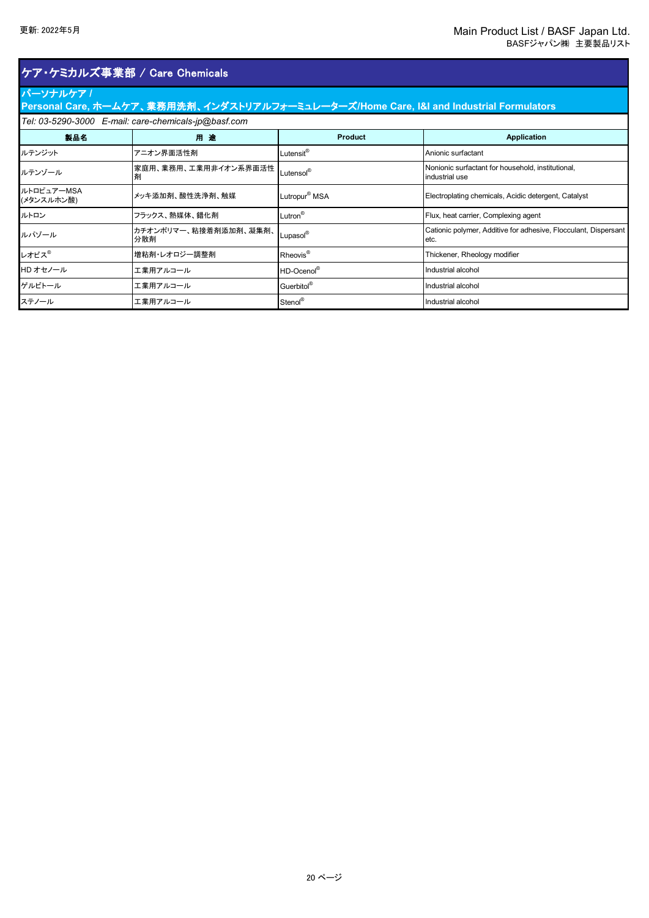# ケア・ケミカルズ事業部 / Care Chemicals

### パーソナルケア **/**

| Personal Care, ホームケア、業務用洗剤、インダストリアルフォーミュレーターズ/Home Care, I&I and Industrial Formulators 1 |  |  |  |  |
|-------------------------------------------------------------------------------------------|--|--|--|--|
| Tel: 03-5290-3000 E-mail: care-chemicals-jp@basf.com                                      |  |  |  |  |
|                                                                                           |  |  |  |  |

| 製品名                      | 用途                            | Product                   | <b>Application</b>                                                       |
|--------------------------|-------------------------------|---------------------------|--------------------------------------------------------------------------|
| ルテンジット                   | アニオン界面活性剤                     | Lutensit <sup>®</sup>     | Anionic surfactant                                                       |
| ルテンゾール                   | 家庭用、業務用、工業用非イオン系界面活性  <br>剤   | Lutensol <sup>®</sup>     | Nonionic surfactant for household, institutional,<br>industrial use      |
| ルトロピュアーMSA<br>(メタンスルホン酸) | メッキ添加剤、酸性洗浄剤、触媒               | Lutropur <sup>®</sup> MSA | Electroplating chemicals, Acidic detergent, Catalyst                     |
| ルトロン                     | フラックス、熱媒体、錯化剤                 | Lutron <sup>®</sup>       | Flux, heat carrier, Complexing agent                                     |
| ルパゾール                    | カチオンポリマー、粘接着剤添加剤、凝集剤、<br> 分散剤 | Lupasol®                  | Cationic polymer, Additive for adhesive, Flocculant, Dispersant<br>letc. |
| レオビス®                    | 増粘剤・レオロジー調整剤                  | Rheovis <sup>®</sup>      | Thickener, Rheology modifier                                             |
| HD オセノール                 | 工業用アルコール                      | HD-Ocenol®                | Industrial alcohol                                                       |
| ゲルビトール                   | 工業用アルコール                      | Guerbitol®                | Industrial alcohol                                                       |
| ステノール                    | 工業用アルコール                      | Stenol®                   | Industrial alcohol                                                       |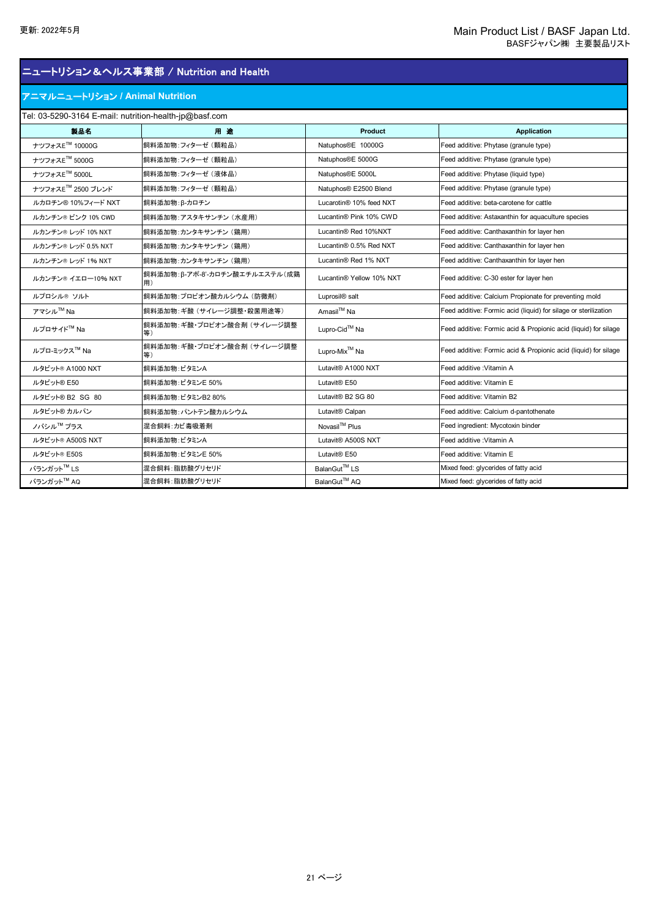#### アニマルニュートリション **/ Animal Nutrition**

### Tel: 03-5290-3164 E-mail: nutrition-health-jp@basf.com **製品名 用 途 Product Application** ナツフォスETM 10000G 飼料添加物:フィターゼ (顆粒品) Natuphos®E 10000G Feed additive: Phytase (granule type) ナツフォスETM 5000G 飼料添加物:フィターゼ (顆粒品) Natuphos®E 5000G Feed additive: Phytase (granule type) ナツフォスETM 5000L 飼料添加物:フィターゼ (液体品) Natuphos®E 5000L Feed additive: Phytase (liquid type) ナツフォスETM 2500 ブレンド 飼料添加物:フィターゼ (顆粒品) Natuphos® E2500 Blend Feed additive: Phytase (granule type) ルカロチン® 10%フィード NXT 創料添加物: β-カロチン Lucarotin® 10% feed NXT Feed additive: beta-carotene for cattle ルカンチン® ピンク 10% CWD 飼料添加物:アスタキサンチン (水産用) Lucantin® Pink 10% CWD Feed additive: Astaxanthin for aquaculture species ルカンチン® レッド 10% NXT 創料添加物:カンタキサンチン (鶏用) Lucantin® Red 10%NXT Feed additive: Canthaxanthin for layer hen ルカンチン® レッド 0.5% NXT 創料添加物:カンタキサンチン (鶏用) Lucantin® 0.5% Red NXT Feed additive: Canthaxanthin for layer hen ルカンチン® レッド 1% NXT 創料添加物:カンタキサンチン (鶏用) Lucantin® Red 1% NXT Feed additive: Canthaxanthin for layer hen ルカンチン® イエロー10% NXT 飼料添加物:β-アポ-8'-カロチン酸エチルエステル(成鶏 Lucantin® Yellow 10% NXT Feed additive: C-30 ester for layer hen ルプロシル® ソルト つい 飼料添加物:プロピオン酸カルシウム (防黴剤) Luprosil® salt Feed additive: Calcium Propionate for preventing mold アマシル™ Na インプの料添加物:ギ酸 (サイレージ調整・殺菌用途等) Amasil™ Na Feed additive: Formic acid (liquid) for silage or sterilization ルプロサイド™ Na 創料添加物:ギ酸・プロピオン酸合剤 (サイレージ調整 Lupro-Cid<sup>™</sup> Na Feed additive: Formic acid & Propionic acid (liquid) for silage  $\begin{bmatrix} \mathbf{1} & \mathbf{1} & \mathbf{1} \\ \mathbf{1} & \mathbf{1} & \mathbf{1} \\ \mathbf{1} & \mathbf{1} & \mathbf{1} \\ \mathbf{2} & \mathbf{2} & \mathbf{1} \end{bmatrix}$   $\mathbf{1} \mathbf{1} \mathbf{1} \mathbf{1} \mathbf{1} \mathbf{1} \mathbf{1} \mathbf{1} \mathbf{1} \mathbf{1} \mathbf{1} \mathbf{1} \mathbf{1} \mathbf{1} \mathbf{1} \mathbf{1} \mathbf{1} \mathbf{1} \mathbf{1} \mathbf{1}$ Lupro-Mix<sup>™</sup> Na **Feed additive: Formic acid & Propionic acid** (liquid) for silage ルタビット® A1000 NXT 創料添加物:ビタミンA Lutavit® A1000 NXT Feed additive :Vitamin A ルタビット® E50 アンプロング お願い おかしゃ しょうしゃ しんぱい しょうしょう しょうしょうしゃ しょうしゅん しょうしゅん しょうしゅん しょうしょう こうしょう ルタビット® B2 SG 80 飼料添加物:ビタミンB2 80% Lutavit® B2 SG 80 Feed additive: Vitamin B2 ルタビット® カルパン 飼料添加物:パントテン酸カルシウム Lutavit® Calpan Feed additive: Calcium d-pantothenate ノバシル™ プラス ファイン おようしゃ おようしゃ おうしゃ アイディスク Novasil™ Plus アイシル™ Feed ingredient: Mycotoxin binder ルタビット® A500S NXT 創料添加物:ビタミンA Lutavit® A500S NXT Feed additive :Vitamin A ルタビット® E50S インデンの開料添加物:ビタミンE 50% レコンプレイ Lutavit® E50 インデント Feed additive: Vitamin E バランガットTM LS 混合飼料:脂肪酸グリセリド BalanGutTM LS Mixed feed: glycerides of fatty acid バランガットTM AQ 混合飼料:脂肪酸グリセリド BalanGutTM AQ Mixed feed: glycerides of fatty acid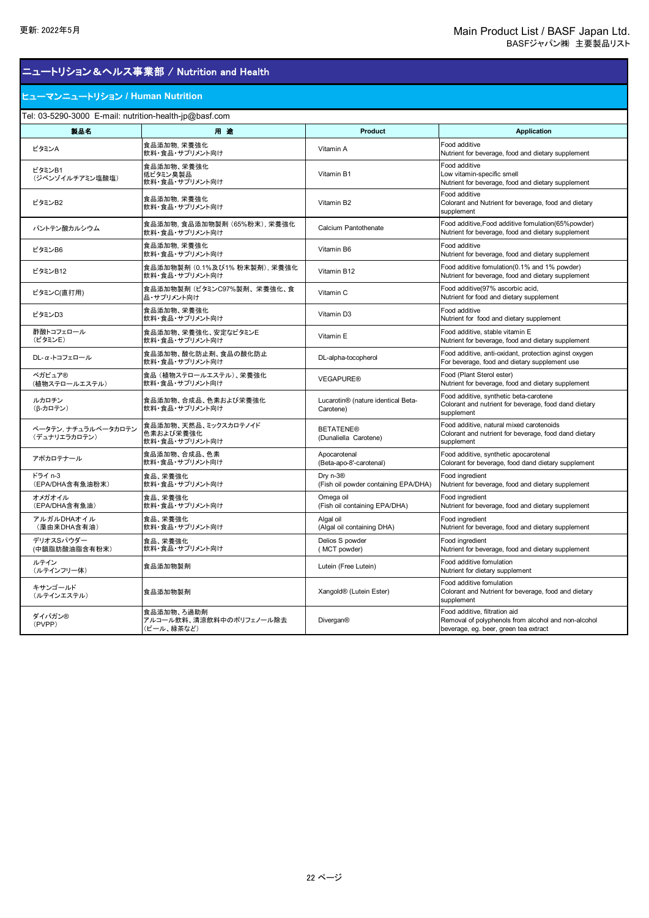#### ヒューマンニュートリション **/ Human Nutrition**

Tel: 03-5290-3000 E-mail: nutrition-health-jp@basf.com

| el. 00-0290-0000 L-mail. nuthtion-nealth-plocoasi.com<br>製品名 | 用途                                                  | Product                                                      | <b>Application</b>                                                                                                            |
|--------------------------------------------------------------|-----------------------------------------------------|--------------------------------------------------------------|-------------------------------------------------------------------------------------------------------------------------------|
| ビタミンA                                                        | 食品添加物, 栄養強化<br>飲料・食品・サプリメント向け                       | Vitamin A                                                    | Food additive<br>Nutrient for beverage, food and dietary supplement                                                           |
| ビタミンB1<br>(ジベンゾイルチアミン塩酸塩)                                    | 食品添加物、栄養強化<br>低ビタミン臭製品<br>飲料・食品・サプリメント向け            | Vitamin B1                                                   | Food additive<br>Low vitamin-specific smell<br>Nutrient for beverage, food and dietary supplement                             |
| ビタミンB2                                                       | 食品添加物, 栄養強化<br>飲料・食品・サプリメント向け                       | Vitamin B2                                                   | Food additive<br>Colorant and Nutrient for beverage, food and dietary<br>supplement                                           |
| パントテン酸カルシウム                                                  | 食品添加物, 食品添加物製剤 (65%粉末), 栄養強化<br>飲料・食品・サプリメント向け      | Calcium Pantothenate                                         | Food additive, Food additive fomulation (65% powder)<br>Nutrient for beverage, food and dietary supplement                    |
| ビタミンB6                                                       | 食品添加物, 栄養強化<br>飲料・食品・サプリメント向け                       | Vitamin B6                                                   | Food additive<br>Nutrient for beverage, food and dietary supplement                                                           |
| ビタミンB12                                                      | 食品添加物製剤 (0.1%及び1% 粉末製剤), 栄養強化<br>飲料・食品・サプリメント向け     | Vitamin B12                                                  | Food additive fomulation(0.1% and 1% powder)<br>Nutrient for beverage, food and dietary supplement                            |
| ビタミンC(直打用)                                                   | 食品添加物製剤 (ビタミンC97%製剤、栄養強化、食<br>品・サプリメント向け            | Vitamin C                                                    | Food additive(97% ascorbic acid,<br>Nutrient for food and dietary supplement                                                  |
| ビタミンD3                                                       | 食品添加物、栄養強化<br>飲料・食品・サプリメント向け                        | Vitamin D3                                                   | Food additive<br>Nutrient for food and dietary supplement                                                                     |
| 酢酸トコフェロール<br>(ビタミンE)                                         | 食品添加物、栄養強化、安定なビタミンE<br>飲料・食品・サプリメント向け               | Vitamin E                                                    | Food additive, stable vitamin E<br>Nutrient for beverage, food and dietary supplement                                         |
| DL-α-トコフェロール                                                 | 食品添加物、酸化防止剤、食品の酸化防止<br>飲料・食品・サプリメント向け               | DL-alpha-tocopherol                                          | Food additive, anti-oxidant, protection aginst oxygen<br>For beverage, food and dietary supplement use                        |
| ベガピュア®<br>(植物ステロールエステル)                                      | 食品 (植物ステロールエステル)、栄養強化<br>飲料・食品・サプリメント向け             | <b>VEGAPURE®</b>                                             | Food (Plant Sterol ester)<br>Nutrient for beverage, food and dietary supplement                                               |
| ルカロチン<br>(β-カロテン)                                            | 食品添加物、合成品、色素および栄養強化<br>飲料・食品・サプリメント向け               | Lucarotin® (nature identical Beta-<br>Carotene)              | Food additive, synthetic beta-carotene<br>Colorant and nutrient for beverage, food dand dietary<br>supplement                 |
| ベータテン、ナチュラルベータカロテン<br>(デュナリエラカロテン)                           | 食品添加物、天然品、ミックスカロテノイド<br>色素および栄養強化<br>飲料・食品・サプリメント向け | <b>BETATENE®</b><br>(Dunaliella Carotene)                    | Food additive, natural mixed carotenoids<br>Colorant and nutrient for beverage, food dand dietary<br>supplement               |
| アポカロテナール                                                     | 食品添加物、合成品、色素<br>飲料・食品・サプリメント向け                      | Apocarotenal<br>(Beta-apo-8'-carotenal)                      | Food additive, synthetic apocarotenal<br>Colorant for beverage, food dand dietary supplement                                  |
| ドライ n-3<br>(EPA/DHA含有魚油粉末)                                   | 食品、栄養強化<br>飲料・食品・サプリメント向け                           | Dry n-3 <sup>®</sup><br>(Fish oil powder containing EPA/DHA) | Food ingredient<br>Nutrient for beverage, food and dietary supplement                                                         |
| オメガオイル<br>(EPA/DHA含有魚油)                                      | 食品、栄養強化<br>飲料・食品・サプリメント向け                           | Omega oil<br>(Fish oil containing EPA/DHA)                   | Food ingredient<br>Nutrient for beverage, food and dietary supplement                                                         |
| アルガルDHAオイル<br>(藻由来DHA含有油)                                    | 食品、栄養強化<br>飲料・食品・サプリメント向け                           | Algal oil<br>(Algal oil containing DHA)                      | Food ingredient<br>Nutrient for beverage, food and dietary supplement                                                         |
| デリオスSパウダー<br>(中鎖脂肪酸油脂含有粉末)                                   | 食品、栄養強化<br>飲料・食品・サプリメント向け                           | Delios S powder<br>(MCT powder)                              | Food ingredient<br>Nutrient for beverage, food and dietary supplement                                                         |
| ルテイン<br>(ルテインフリー体)                                           | 食品添加物製剤                                             | Lutein (Free Lutein)                                         | Food additive fomulation<br>Nutrient for dietary supplement                                                                   |
| キサンゴールド<br>(ルテインエステル)                                        | 食品添加物製剤                                             | Xangold <sup>®</sup> (Lutein Ester)                          | Food additive fomulation<br>Colorant and Nutrient for beverage, food and dietary<br>supplement                                |
| ダイバガン®<br>(PVPP)                                             | 食品添加物、ろ過助剤<br>アルコール飲料、清涼飲料中のポリフェノール除去<br>(ビール、緑茶など) | <b>Divergan®</b>                                             | Food additive, filtration aid<br>Removal of polyphenols from alcohol and non-alcohol<br>beverage, eg. beer, green tea extract |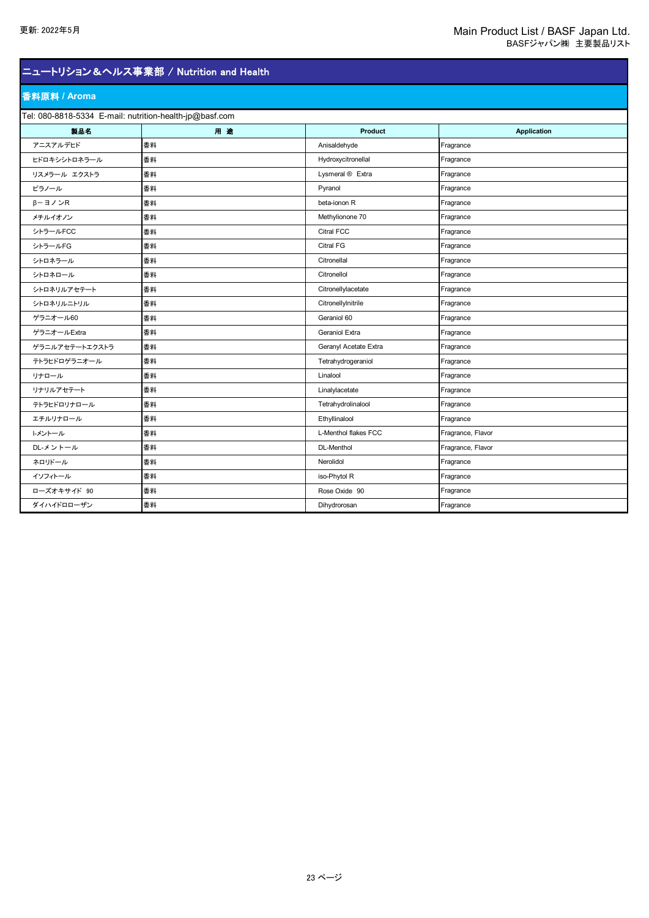#### 香料原料 **/ Aroma**

Tel: 080-8818-5334 E-mail: nutrition-health-jp@basf.com

| el. 000-0010-0004 L-mail. nutrition-nearth-populasi.com<br>製品名 | 用途 | Product               | <b>Application</b> |
|----------------------------------------------------------------|----|-----------------------|--------------------|
| アニスアルデヒド                                                       | 香料 | Anisaldehyde          | Fragrance          |
| ヒドロキシシトロネラール                                                   | 香料 | Hydroxycitronellal    | Fragrance          |
| リスメラール エクストラ                                                   | 香料 | Lysmeral ® Extra      | Fragrance          |
| ピラノール                                                          | 香料 | Pyranol               | Fragrance          |
| β-ヨノンR                                                         | 香料 | beta-ionon R          | Fragrance          |
| メチルイオノン                                                        | 香料 | Methylionone 70       | Fragrance          |
| シトラールFCC                                                       | 香料 | Citral FCC            | Fragrance          |
| シトラールFG                                                        | 香料 | Citral FG             | Fragrance          |
| シトロネラール                                                        | 香料 | Citronellal           | Fragrance          |
| シトロネロール                                                        | 香料 | Citronellol           | Fragrance          |
| シトロネリルアセテート                                                    | 香料 | Citronellylacetate    | Fragrance          |
| シトロネリルニトリル                                                     | 香料 | CitronellyInitrile    | Fragrance          |
| ゲラニオール60                                                       | 香料 | Geraniol 60           | Fragrance          |
| ゲラニオールExtra                                                    | 香料 | Geraniol Extra        | Fragrance          |
| ゲラニルアセテートエクストラ                                                 | 香料 | Geranyl Acetate Extra | Fragrance          |
| テトラヒドロゲラニオール                                                   | 香料 | Tetrahydrogeraniol    | Fragrance          |
| リナロール                                                          | 香料 | Linalool              | Fragrance          |
| リナリルアセテート                                                      | 香料 | Linalylacetate        | Fragrance          |
| テトラヒドロリナロール                                                    | 香料 | Tetrahydrolinalool    | Fragrance          |
| エチルリナロール                                                       | 香料 | Ethyllinalool         | Fragrance          |
| トメントール                                                         | 香料 | L-Menthol flakes FCC  | Fragrance, Flavor  |
| DL-メントール                                                       | 香料 | <b>DL-Menthol</b>     | Fragrance, Flavor  |
| ネロリドール                                                         | 香料 | Nerolidol             | Fragrance          |
| イソフィトール                                                        | 香料 | iso-Phytol R          | Fragrance          |
| ローズオキサイド 90                                                    | 香料 | Rose Oxide 90         | Fragrance          |
| ダイハイドロローザン                                                     | 香料 | Dihydrorosan          | Fragrance          |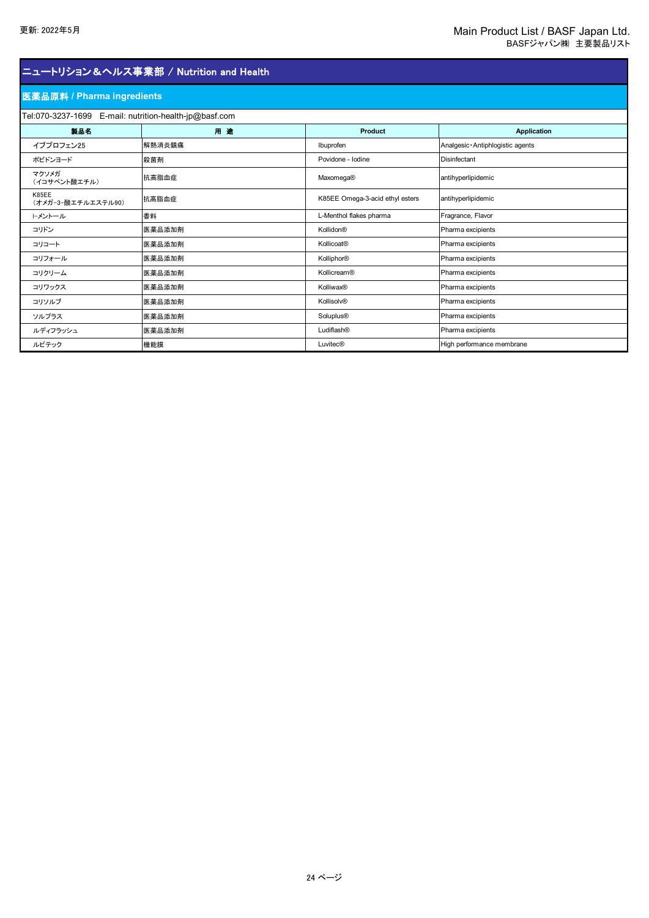### 医薬品原料 **/ Pharma ingredients**

| Tel:070-3237-1699 E-mail: nutrition-health-jp@basf.com |        |                                 |                                   |  |  |
|--------------------------------------------------------|--------|---------------------------------|-----------------------------------|--|--|
| 製品名                                                    | 用途     | Product                         | <b>Application</b>                |  |  |
| イブプロフェン25                                              | 解熱消炎鎮痛 | Ibuprofen                       | Analgesic · Antiphlogistic agents |  |  |
| ポビドンヨード                                                | 殺菌剤    | Povidone - Iodine               | Disinfectant                      |  |  |
| マクソメガ<br>(イコサペント酸エチル)                                  | 抗高脂血症  | Maxomega®                       | antihyperlipidemic                |  |  |
| K85EE<br>(オメガ-3-酸エチルエステル90)                            | 抗高脂血症  | K85EE Omega-3-acid ethyl esters | antihyperlipidemic                |  |  |
| トメントール                                                 | 香料     | L-Menthol flakes pharma         | Fragrance, Flavor                 |  |  |
| コリドン                                                   | 医薬品添加剤 | Kollidon®                       | Pharma excipients                 |  |  |
| コリコート                                                  | 医薬品添加剤 | Kollicoat®                      | Pharma excipients                 |  |  |
| コリフォール                                                 | 医薬品添加剤 | Kolliphor®                      | Pharma excipients                 |  |  |
| コリクリーム                                                 | 医薬品添加剤 | Kollicream®                     | Pharma excipients                 |  |  |
| コリワックス                                                 | 医薬品添加剤 | Kolliwax®                       | Pharma excipients                 |  |  |
| コリソルブ                                                  | 医薬品添加剤 | Kollisolv®                      | Pharma excipients                 |  |  |
| ソルプラス                                                  | 医薬品添加剤 | Soluplus <sup>®</sup>           | Pharma excipients                 |  |  |
| ルディフラッシュ                                               | 医薬品添加剤 | Ludiflash®                      | Pharma excipients                 |  |  |
| ルビテック                                                  | 機能膜    | <b>Luvitec®</b>                 | High performance membrane         |  |  |